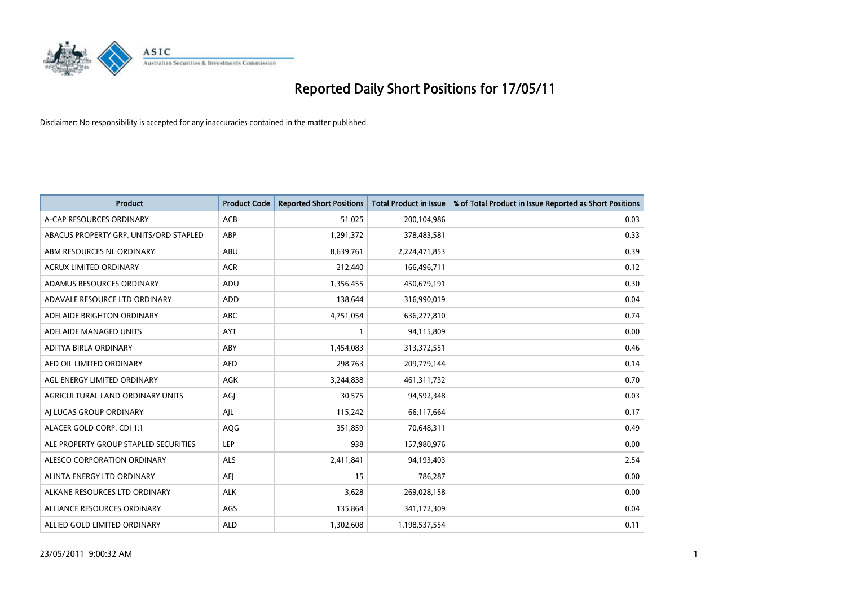

| <b>Product</b>                         | <b>Product Code</b> | <b>Reported Short Positions</b> | <b>Total Product in Issue</b> | % of Total Product in Issue Reported as Short Positions |
|----------------------------------------|---------------------|---------------------------------|-------------------------------|---------------------------------------------------------|
| A-CAP RESOURCES ORDINARY               | ACB                 | 51,025                          | 200,104,986                   | 0.03                                                    |
| ABACUS PROPERTY GRP. UNITS/ORD STAPLED | ABP                 | 1,291,372                       | 378,483,581                   | 0.33                                                    |
| ABM RESOURCES NL ORDINARY              | ABU                 | 8,639,761                       | 2,224,471,853                 | 0.39                                                    |
| ACRUX LIMITED ORDINARY                 | <b>ACR</b>          | 212,440                         | 166,496,711                   | 0.12                                                    |
| ADAMUS RESOURCES ORDINARY              | ADU                 | 1,356,455                       | 450,679,191                   | 0.30                                                    |
| ADAVALE RESOURCE LTD ORDINARY          | <b>ADD</b>          | 138,644                         | 316,990,019                   | 0.04                                                    |
| ADELAIDE BRIGHTON ORDINARY             | <b>ABC</b>          | 4,751,054                       | 636,277,810                   | 0.74                                                    |
| ADELAIDE MANAGED UNITS                 | <b>AYT</b>          |                                 | 94,115,809                    | 0.00                                                    |
| ADITYA BIRLA ORDINARY                  | ABY                 | 1,454,083                       | 313,372,551                   | 0.46                                                    |
| AED OIL LIMITED ORDINARY               | <b>AED</b>          | 298,763                         | 209,779,144                   | 0.14                                                    |
| AGL ENERGY LIMITED ORDINARY            | <b>AGK</b>          | 3,244,838                       | 461,311,732                   | 0.70                                                    |
| AGRICULTURAL LAND ORDINARY UNITS       | AGJ                 | 30,575                          | 94,592,348                    | 0.03                                                    |
| AI LUCAS GROUP ORDINARY                | AJL                 | 115,242                         | 66,117,664                    | 0.17                                                    |
| ALACER GOLD CORP. CDI 1:1              | AQG                 | 351,859                         | 70,648,311                    | 0.49                                                    |
| ALE PROPERTY GROUP STAPLED SECURITIES  | LEP                 | 938                             | 157,980,976                   | 0.00                                                    |
| ALESCO CORPORATION ORDINARY            | <b>ALS</b>          | 2,411,841                       | 94,193,403                    | 2.54                                                    |
| ALINTA ENERGY LTD ORDINARY             | <b>AEJ</b>          | 15                              | 786,287                       | 0.00                                                    |
| ALKANE RESOURCES LTD ORDINARY          | <b>ALK</b>          | 3,628                           | 269,028,158                   | 0.00                                                    |
| ALLIANCE RESOURCES ORDINARY            | AGS                 | 135,864                         | 341,172,309                   | 0.04                                                    |
| ALLIED GOLD LIMITED ORDINARY           | <b>ALD</b>          | 1,302,608                       | 1,198,537,554                 | 0.11                                                    |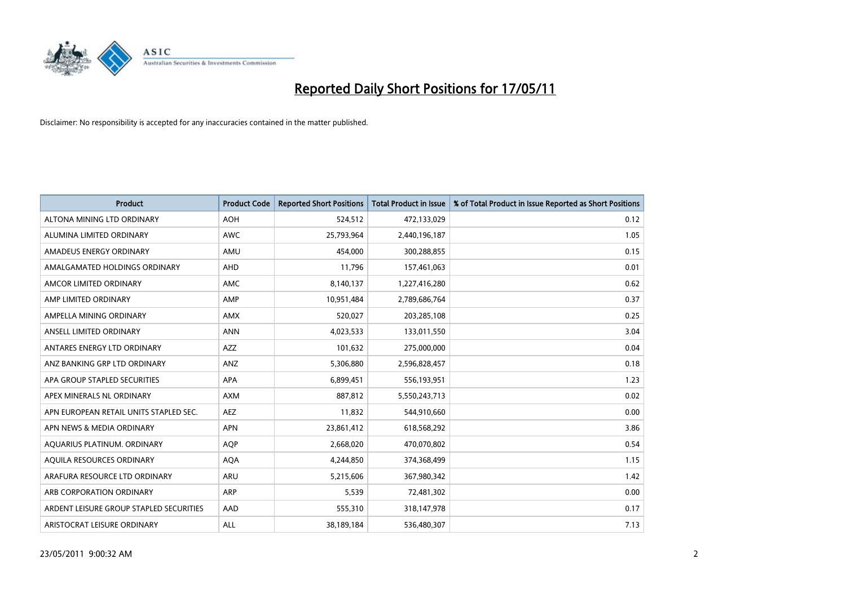

| <b>Product</b>                          | <b>Product Code</b> | <b>Reported Short Positions</b> | <b>Total Product in Issue</b> | % of Total Product in Issue Reported as Short Positions |
|-----------------------------------------|---------------------|---------------------------------|-------------------------------|---------------------------------------------------------|
| ALTONA MINING LTD ORDINARY              | <b>AOH</b>          | 524,512                         | 472,133,029                   | 0.12                                                    |
| ALUMINA LIMITED ORDINARY                | <b>AWC</b>          | 25,793,964                      | 2,440,196,187                 | 1.05                                                    |
| AMADEUS ENERGY ORDINARY                 | AMU                 | 454,000                         | 300,288,855                   | 0.15                                                    |
| AMALGAMATED HOLDINGS ORDINARY           | AHD                 | 11,796                          | 157,461,063                   | 0.01                                                    |
| AMCOR LIMITED ORDINARY                  | <b>AMC</b>          | 8,140,137                       | 1,227,416,280                 | 0.62                                                    |
| AMP LIMITED ORDINARY                    | AMP                 | 10,951,484                      | 2,789,686,764                 | 0.37                                                    |
| AMPELLA MINING ORDINARY                 | <b>AMX</b>          | 520.027                         | 203,285,108                   | 0.25                                                    |
| ANSELL LIMITED ORDINARY                 | <b>ANN</b>          | 4,023,533                       | 133,011,550                   | 3.04                                                    |
| ANTARES ENERGY LTD ORDINARY             | <b>AZZ</b>          | 101,632                         | 275,000,000                   | 0.04                                                    |
| ANZ BANKING GRP LTD ORDINARY            | ANZ                 | 5,306,880                       | 2,596,828,457                 | 0.18                                                    |
| APA GROUP STAPLED SECURITIES            | <b>APA</b>          | 6,899,451                       | 556,193,951                   | 1.23                                                    |
| APEX MINERALS NL ORDINARY               | <b>AXM</b>          | 887,812                         | 5,550,243,713                 | 0.02                                                    |
| APN EUROPEAN RETAIL UNITS STAPLED SEC.  | <b>AEZ</b>          | 11,832                          | 544,910,660                   | 0.00                                                    |
| APN NEWS & MEDIA ORDINARY               | <b>APN</b>          | 23,861,412                      | 618,568,292                   | 3.86                                                    |
| AQUARIUS PLATINUM. ORDINARY             | <b>AOP</b>          | 2,668,020                       | 470,070,802                   | 0.54                                                    |
| AQUILA RESOURCES ORDINARY               | <b>AQA</b>          | 4,244,850                       | 374,368,499                   | 1.15                                                    |
| ARAFURA RESOURCE LTD ORDINARY           | ARU                 | 5,215,606                       | 367,980,342                   | 1.42                                                    |
| ARB CORPORATION ORDINARY                | <b>ARP</b>          | 5,539                           | 72,481,302                    | 0.00                                                    |
| ARDENT LEISURE GROUP STAPLED SECURITIES | AAD                 | 555,310                         | 318,147,978                   | 0.17                                                    |
| ARISTOCRAT LEISURE ORDINARY             | <b>ALL</b>          | 38,189,184                      | 536,480,307                   | 7.13                                                    |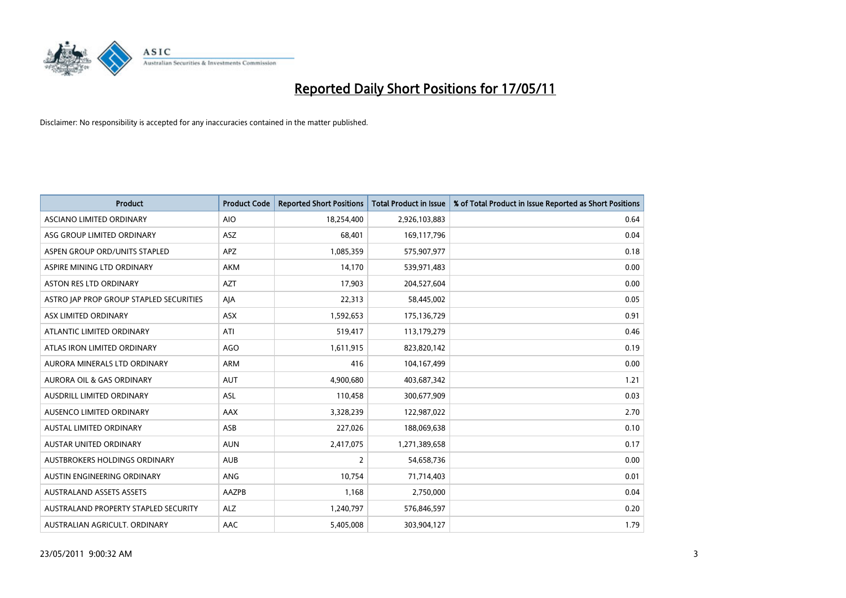

| <b>Product</b>                          | <b>Product Code</b> | <b>Reported Short Positions</b> | Total Product in Issue | % of Total Product in Issue Reported as Short Positions |
|-----------------------------------------|---------------------|---------------------------------|------------------------|---------------------------------------------------------|
| ASCIANO LIMITED ORDINARY                | <b>AIO</b>          | 18,254,400                      | 2,926,103,883          | 0.64                                                    |
| ASG GROUP LIMITED ORDINARY              | <b>ASZ</b>          | 68,401                          | 169,117,796            | 0.04                                                    |
| ASPEN GROUP ORD/UNITS STAPLED           | APZ                 | 1,085,359                       | 575,907,977            | 0.18                                                    |
| ASPIRE MINING LTD ORDINARY              | <b>AKM</b>          | 14,170                          | 539,971,483            | 0.00                                                    |
| <b>ASTON RES LTD ORDINARY</b>           | <b>AZT</b>          | 17,903                          | 204,527,604            | 0.00                                                    |
| ASTRO JAP PROP GROUP STAPLED SECURITIES | AJA                 | 22,313                          | 58,445,002             | 0.05                                                    |
| ASX LIMITED ORDINARY                    | <b>ASX</b>          | 1,592,653                       | 175,136,729            | 0.91                                                    |
| ATLANTIC LIMITED ORDINARY               | ATI                 | 519,417                         | 113,179,279            | 0.46                                                    |
| ATLAS IRON LIMITED ORDINARY             | <b>AGO</b>          | 1,611,915                       | 823,820,142            | 0.19                                                    |
| AURORA MINERALS LTD ORDINARY            | <b>ARM</b>          | 416                             | 104,167,499            | 0.00                                                    |
| AURORA OIL & GAS ORDINARY               | <b>AUT</b>          | 4,900,680                       | 403,687,342            | 1.21                                                    |
| AUSDRILL LIMITED ORDINARY               | ASL                 | 110,458                         | 300,677,909            | 0.03                                                    |
| AUSENCO LIMITED ORDINARY                | <b>AAX</b>          | 3,328,239                       | 122,987,022            | 2.70                                                    |
| <b>AUSTAL LIMITED ORDINARY</b>          | ASB                 | 227,026                         | 188,069,638            | 0.10                                                    |
| <b>AUSTAR UNITED ORDINARY</b>           | <b>AUN</b>          | 2,417,075                       | 1,271,389,658          | 0.17                                                    |
| AUSTBROKERS HOLDINGS ORDINARY           | <b>AUB</b>          | 2                               | 54,658,736             | 0.00                                                    |
| AUSTIN ENGINEERING ORDINARY             | ANG                 | 10,754                          | 71,714,403             | 0.01                                                    |
| <b>AUSTRALAND ASSETS ASSETS</b>         | AAZPB               | 1,168                           | 2,750,000              | 0.04                                                    |
| AUSTRALAND PROPERTY STAPLED SECURITY    | <b>ALZ</b>          | 1,240,797                       | 576,846,597            | 0.20                                                    |
| AUSTRALIAN AGRICULT. ORDINARY           | AAC                 | 5,405,008                       | 303,904,127            | 1.79                                                    |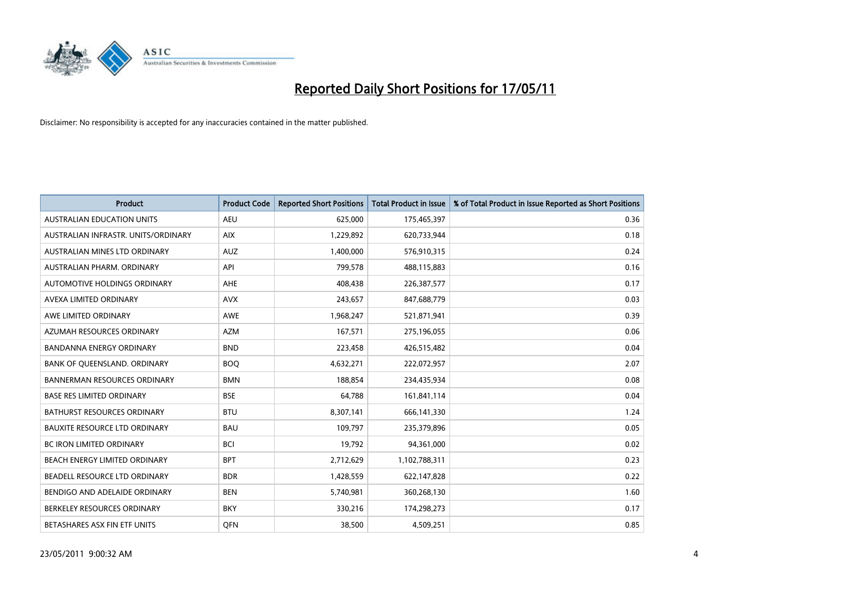

| <b>Product</b>                       | <b>Product Code</b> | <b>Reported Short Positions</b> | <b>Total Product in Issue</b> | % of Total Product in Issue Reported as Short Positions |
|--------------------------------------|---------------------|---------------------------------|-------------------------------|---------------------------------------------------------|
| <b>AUSTRALIAN EDUCATION UNITS</b>    | <b>AEU</b>          | 625,000                         | 175,465,397                   | 0.36                                                    |
| AUSTRALIAN INFRASTR. UNITS/ORDINARY  | <b>AIX</b>          | 1,229,892                       | 620,733,944                   | 0.18                                                    |
| AUSTRALIAN MINES LTD ORDINARY        | <b>AUZ</b>          | 1,400,000                       | 576,910,315                   | 0.24                                                    |
| AUSTRALIAN PHARM. ORDINARY           | API                 | 799,578                         | 488,115,883                   | 0.16                                                    |
| AUTOMOTIVE HOLDINGS ORDINARY         | <b>AHE</b>          | 408,438                         | 226,387,577                   | 0.17                                                    |
| AVEXA LIMITED ORDINARY               | <b>AVX</b>          | 243,657                         | 847,688,779                   | 0.03                                                    |
| AWE LIMITED ORDINARY                 | <b>AWE</b>          | 1,968,247                       | 521,871,941                   | 0.39                                                    |
| AZUMAH RESOURCES ORDINARY            | <b>AZM</b>          | 167,571                         | 275,196,055                   | 0.06                                                    |
| <b>BANDANNA ENERGY ORDINARY</b>      | <b>BND</b>          | 223,458                         | 426,515,482                   | 0.04                                                    |
| BANK OF QUEENSLAND. ORDINARY         | <b>BOO</b>          | 4,632,271                       | 222,072,957                   | 2.07                                                    |
| <b>BANNERMAN RESOURCES ORDINARY</b>  | <b>BMN</b>          | 188,854                         | 234,435,934                   | 0.08                                                    |
| <b>BASE RES LIMITED ORDINARY</b>     | <b>BSE</b>          | 64,788                          | 161,841,114                   | 0.04                                                    |
| BATHURST RESOURCES ORDINARY          | <b>BTU</b>          | 8,307,141                       | 666,141,330                   | 1.24                                                    |
| <b>BAUXITE RESOURCE LTD ORDINARY</b> | <b>BAU</b>          | 109,797                         | 235,379,896                   | 0.05                                                    |
| <b>BC IRON LIMITED ORDINARY</b>      | <b>BCI</b>          | 19,792                          | 94,361,000                    | 0.02                                                    |
| BEACH ENERGY LIMITED ORDINARY        | <b>BPT</b>          | 2,712,629                       | 1,102,788,311                 | 0.23                                                    |
| BEADELL RESOURCE LTD ORDINARY        | <b>BDR</b>          | 1,428,559                       | 622,147,828                   | 0.22                                                    |
| BENDIGO AND ADELAIDE ORDINARY        | <b>BEN</b>          | 5,740,981                       | 360,268,130                   | 1.60                                                    |
| BERKELEY RESOURCES ORDINARY          | <b>BKY</b>          | 330,216                         | 174,298,273                   | 0.17                                                    |
| BETASHARES ASX FIN ETF UNITS         | <b>OFN</b>          | 38,500                          | 4,509,251                     | 0.85                                                    |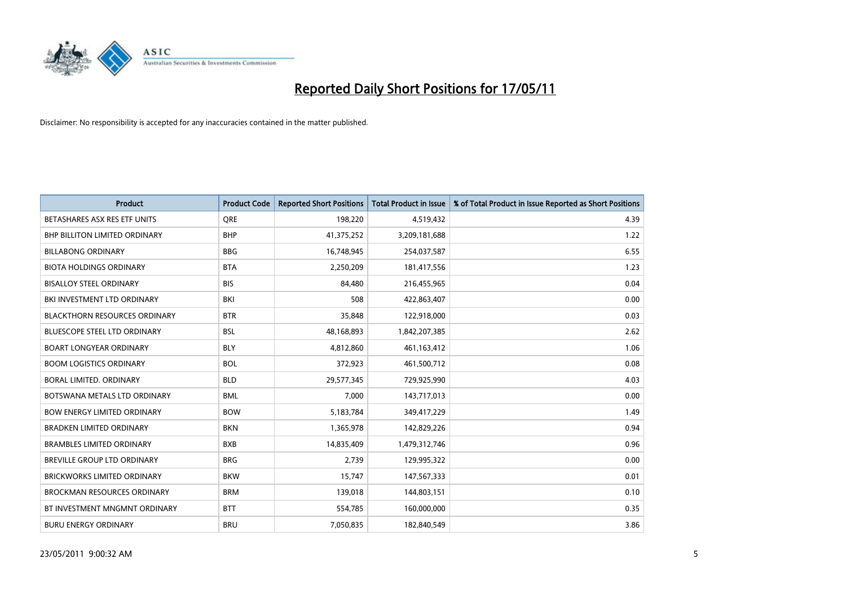

| <b>Product</b>                       | <b>Product Code</b> | <b>Reported Short Positions</b> | <b>Total Product in Issue</b> | % of Total Product in Issue Reported as Short Positions |
|--------------------------------------|---------------------|---------------------------------|-------------------------------|---------------------------------------------------------|
| BETASHARES ASX RES ETF UNITS         | <b>ORE</b>          | 198,220                         | 4,519,432                     | 4.39                                                    |
| <b>BHP BILLITON LIMITED ORDINARY</b> | <b>BHP</b>          | 41,375,252                      | 3,209,181,688                 | 1.22                                                    |
| <b>BILLABONG ORDINARY</b>            | <b>BBG</b>          | 16,748,945                      | 254,037,587                   | 6.55                                                    |
| <b>BIOTA HOLDINGS ORDINARY</b>       | <b>BTA</b>          | 2,250,209                       | 181,417,556                   | 1.23                                                    |
| <b>BISALLOY STEEL ORDINARY</b>       | <b>BIS</b>          | 84,480                          | 216,455,965                   | 0.04                                                    |
| BKI INVESTMENT LTD ORDINARY          | <b>BKI</b>          | 508                             | 422,863,407                   | 0.00                                                    |
| <b>BLACKTHORN RESOURCES ORDINARY</b> | <b>BTR</b>          | 35,848                          | 122,918,000                   | 0.03                                                    |
| <b>BLUESCOPE STEEL LTD ORDINARY</b>  | <b>BSL</b>          | 48,168,893                      | 1,842,207,385                 | 2.62                                                    |
| <b>BOART LONGYEAR ORDINARY</b>       | <b>BLY</b>          | 4,812,860                       | 461,163,412                   | 1.06                                                    |
| <b>BOOM LOGISTICS ORDINARY</b>       | <b>BOL</b>          | 372,923                         | 461,500,712                   | 0.08                                                    |
| BORAL LIMITED. ORDINARY              | <b>BLD</b>          | 29,577,345                      | 729,925,990                   | 4.03                                                    |
| BOTSWANA METALS LTD ORDINARY         | <b>BML</b>          | 7,000                           | 143,717,013                   | 0.00                                                    |
| <b>BOW ENERGY LIMITED ORDINARY</b>   | <b>BOW</b>          | 5,183,784                       | 349,417,229                   | 1.49                                                    |
| <b>BRADKEN LIMITED ORDINARY</b>      | <b>BKN</b>          | 1,365,978                       | 142,829,226                   | 0.94                                                    |
| <b>BRAMBLES LIMITED ORDINARY</b>     | <b>BXB</b>          | 14,835,409                      | 1,479,312,746                 | 0.96                                                    |
| BREVILLE GROUP LTD ORDINARY          | <b>BRG</b>          | 2,739                           | 129,995,322                   | 0.00                                                    |
| <b>BRICKWORKS LIMITED ORDINARY</b>   | <b>BKW</b>          | 15,747                          | 147,567,333                   | 0.01                                                    |
| <b>BROCKMAN RESOURCES ORDINARY</b>   | <b>BRM</b>          | 139,018                         | 144,803,151                   | 0.10                                                    |
| BT INVESTMENT MNGMNT ORDINARY        | <b>BTT</b>          | 554,785                         | 160,000,000                   | 0.35                                                    |
| <b>BURU ENERGY ORDINARY</b>          | <b>BRU</b>          | 7,050,835                       | 182,840,549                   | 3.86                                                    |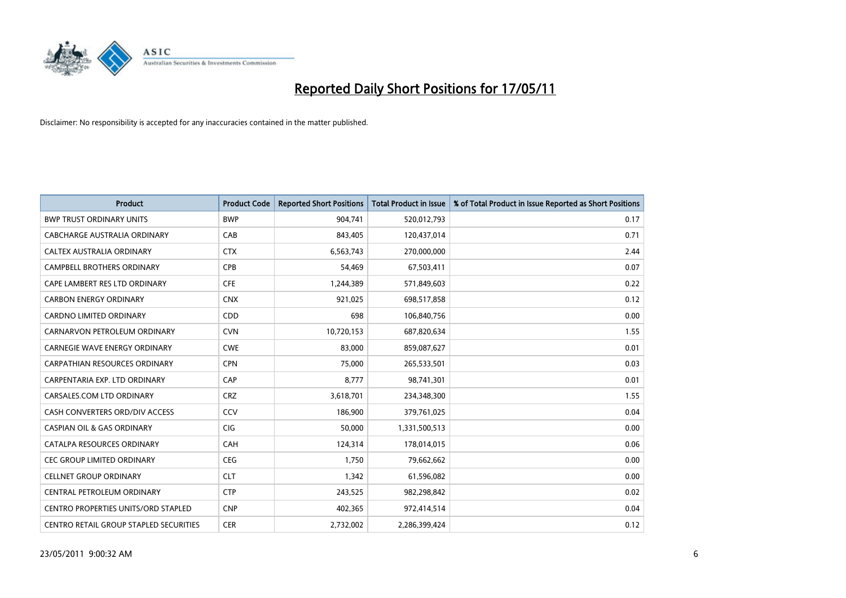

| <b>Product</b>                             | <b>Product Code</b> | <b>Reported Short Positions</b> | <b>Total Product in Issue</b> | % of Total Product in Issue Reported as Short Positions |
|--------------------------------------------|---------------------|---------------------------------|-------------------------------|---------------------------------------------------------|
| <b>BWP TRUST ORDINARY UNITS</b>            | <b>BWP</b>          | 904.741                         | 520,012,793                   | 0.17                                                    |
| CABCHARGE AUSTRALIA ORDINARY               | CAB                 | 843,405                         | 120,437,014                   | 0.71                                                    |
| <b>CALTEX AUSTRALIA ORDINARY</b>           | <b>CTX</b>          | 6,563,743                       | 270,000,000                   | 2.44                                                    |
| CAMPBELL BROTHERS ORDINARY                 | <b>CPB</b>          | 54,469                          | 67,503,411                    | 0.07                                                    |
| CAPE LAMBERT RES LTD ORDINARY              | <b>CFE</b>          | 1,244,389                       | 571,849,603                   | 0.22                                                    |
| <b>CARBON ENERGY ORDINARY</b>              | <b>CNX</b>          | 921,025                         | 698,517,858                   | 0.12                                                    |
| <b>CARDNO LIMITED ORDINARY</b>             | CDD                 | 698                             | 106,840,756                   | 0.00                                                    |
| CARNARVON PETROLEUM ORDINARY               | <b>CVN</b>          | 10,720,153                      | 687,820,634                   | 1.55                                                    |
| <b>CARNEGIE WAVE ENERGY ORDINARY</b>       | <b>CWE</b>          | 83.000                          | 859,087,627                   | 0.01                                                    |
| <b>CARPATHIAN RESOURCES ORDINARY</b>       | <b>CPN</b>          | 75,000                          | 265,533,501                   | 0.03                                                    |
| CARPENTARIA EXP. LTD ORDINARY              | CAP                 | 8,777                           | 98,741,301                    | 0.01                                                    |
| CARSALES.COM LTD ORDINARY                  | <b>CRZ</b>          | 3,618,701                       | 234,348,300                   | 1.55                                                    |
| CASH CONVERTERS ORD/DIV ACCESS             | CCV                 | 186,900                         | 379,761,025                   | 0.04                                                    |
| <b>CASPIAN OIL &amp; GAS ORDINARY</b>      | <b>CIG</b>          | 50,000                          | 1,331,500,513                 | 0.00                                                    |
| CATALPA RESOURCES ORDINARY                 | <b>CAH</b>          | 124,314                         | 178,014,015                   | 0.06                                                    |
| CEC GROUP LIMITED ORDINARY                 | <b>CEG</b>          | 1,750                           | 79,662,662                    | 0.00                                                    |
| <b>CELLNET GROUP ORDINARY</b>              | <b>CLT</b>          | 1,342                           | 61,596,082                    | 0.00                                                    |
| CENTRAL PETROLEUM ORDINARY                 | <b>CTP</b>          | 243,525                         | 982,298,842                   | 0.02                                                    |
| <b>CENTRO PROPERTIES UNITS/ORD STAPLED</b> | <b>CNP</b>          | 402,365                         | 972,414,514                   | 0.04                                                    |
| CENTRO RETAIL GROUP STAPLED SECURITIES     | <b>CER</b>          | 2.732.002                       | 2,286,399,424                 | 0.12                                                    |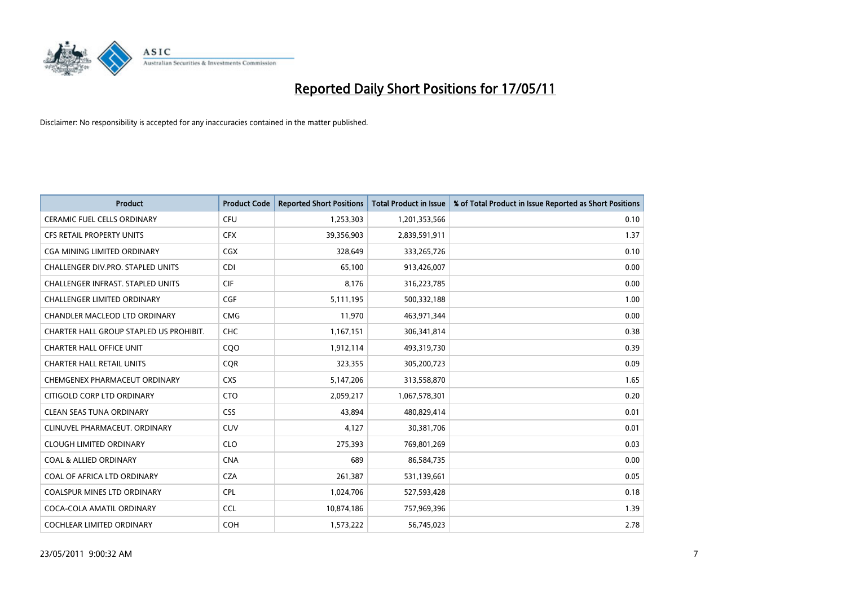

| <b>Product</b>                           | <b>Product Code</b> | <b>Reported Short Positions</b> | Total Product in Issue | % of Total Product in Issue Reported as Short Positions |
|------------------------------------------|---------------------|---------------------------------|------------------------|---------------------------------------------------------|
| <b>CERAMIC FUEL CELLS ORDINARY</b>       | <b>CFU</b>          | 1,253,303                       | 1,201,353,566          | 0.10                                                    |
| CFS RETAIL PROPERTY UNITS                | <b>CFX</b>          | 39,356,903                      | 2,839,591,911          | 1.37                                                    |
| <b>CGA MINING LIMITED ORDINARY</b>       | <b>CGX</b>          | 328.649                         | 333,265,726            | 0.10                                                    |
| CHALLENGER DIV.PRO. STAPLED UNITS        | <b>CDI</b>          | 65,100                          | 913,426,007            | 0.00                                                    |
| <b>CHALLENGER INFRAST, STAPLED UNITS</b> | <b>CIF</b>          | 8,176                           | 316,223,785            | 0.00                                                    |
| <b>CHALLENGER LIMITED ORDINARY</b>       | CGF                 | 5,111,195                       | 500,332,188            | 1.00                                                    |
| CHANDLER MACLEOD LTD ORDINARY            | <b>CMG</b>          | 11,970                          | 463,971,344            | 0.00                                                    |
| CHARTER HALL GROUP STAPLED US PROHIBIT.  | CHC                 | 1,167,151                       | 306,341,814            | 0.38                                                    |
| <b>CHARTER HALL OFFICE UNIT</b>          | COO                 | 1,912,114                       | 493,319,730            | 0.39                                                    |
| <b>CHARTER HALL RETAIL UNITS</b>         | <b>COR</b>          | 323,355                         | 305,200,723            | 0.09                                                    |
| CHEMGENEX PHARMACEUT ORDINARY            | <b>CXS</b>          | 5,147,206                       | 313,558,870            | 1.65                                                    |
| CITIGOLD CORP LTD ORDINARY               | <b>CTO</b>          | 2,059,217                       | 1,067,578,301          | 0.20                                                    |
| <b>CLEAN SEAS TUNA ORDINARY</b>          | <b>CSS</b>          | 43.894                          | 480,829,414            | 0.01                                                    |
| CLINUVEL PHARMACEUT, ORDINARY            | <b>CUV</b>          | 4,127                           | 30,381,706             | 0.01                                                    |
| <b>CLOUGH LIMITED ORDINARY</b>           | <b>CLO</b>          | 275,393                         | 769,801,269            | 0.03                                                    |
| <b>COAL &amp; ALLIED ORDINARY</b>        | <b>CNA</b>          | 689                             | 86,584,735             | 0.00                                                    |
| COAL OF AFRICA LTD ORDINARY              | <b>CZA</b>          | 261,387                         | 531,139,661            | 0.05                                                    |
| COALSPUR MINES LTD ORDINARY              | <b>CPL</b>          | 1,024,706                       | 527,593,428            | 0.18                                                    |
| COCA-COLA AMATIL ORDINARY                | <b>CCL</b>          | 10,874,186                      | 757,969,396            | 1.39                                                    |
| COCHLEAR LIMITED ORDINARY                | COH                 | 1,573,222                       | 56,745,023             | 2.78                                                    |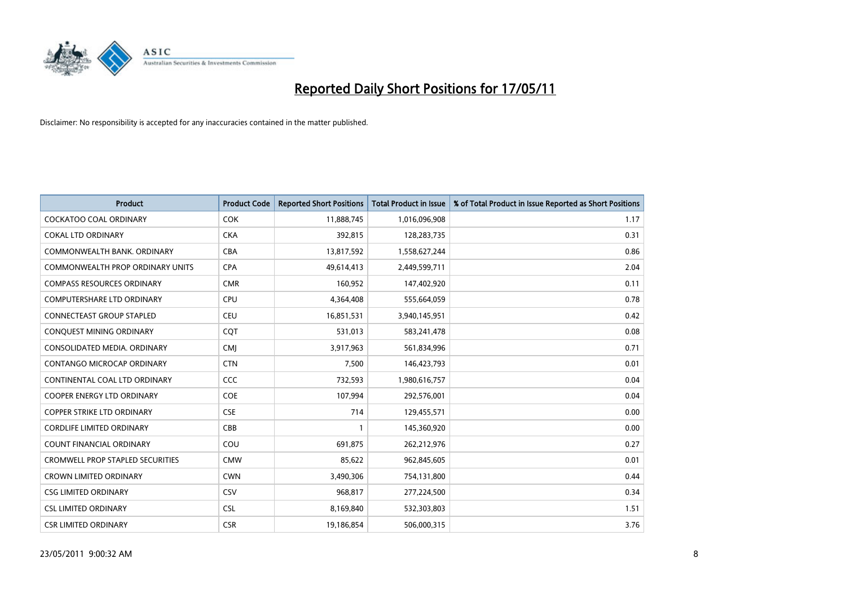

| <b>Product</b>                    | <b>Product Code</b> | <b>Reported Short Positions</b> | <b>Total Product in Issue</b> | % of Total Product in Issue Reported as Short Positions |
|-----------------------------------|---------------------|---------------------------------|-------------------------------|---------------------------------------------------------|
| <b>COCKATOO COAL ORDINARY</b>     | <b>COK</b>          | 11,888,745                      | 1,016,096,908                 | 1.17                                                    |
| <b>COKAL LTD ORDINARY</b>         | <b>CKA</b>          | 392,815                         | 128,283,735                   | 0.31                                                    |
| COMMONWEALTH BANK, ORDINARY       | <b>CBA</b>          | 13,817,592                      | 1,558,627,244                 | 0.86                                                    |
| COMMONWEALTH PROP ORDINARY UNITS  | <b>CPA</b>          | 49,614,413                      | 2,449,599,711                 | 2.04                                                    |
| <b>COMPASS RESOURCES ORDINARY</b> | <b>CMR</b>          | 160,952                         | 147,402,920                   | 0.11                                                    |
| COMPUTERSHARE LTD ORDINARY        | <b>CPU</b>          | 4,364,408                       | 555,664,059                   | 0.78                                                    |
| <b>CONNECTEAST GROUP STAPLED</b>  | <b>CEU</b>          | 16,851,531                      | 3,940,145,951                 | 0.42                                                    |
| CONQUEST MINING ORDINARY          | CQT                 | 531,013                         | 583,241,478                   | 0.08                                                    |
| CONSOLIDATED MEDIA, ORDINARY      | <b>CMI</b>          | 3,917,963                       | 561,834,996                   | 0.71                                                    |
| CONTANGO MICROCAP ORDINARY        | <b>CTN</b>          | 7,500                           | 146,423,793                   | 0.01                                                    |
| CONTINENTAL COAL LTD ORDINARY     | CCC                 | 732,593                         | 1,980,616,757                 | 0.04                                                    |
| <b>COOPER ENERGY LTD ORDINARY</b> | <b>COE</b>          | 107,994                         | 292,576,001                   | 0.04                                                    |
| <b>COPPER STRIKE LTD ORDINARY</b> | <b>CSE</b>          | 714                             | 129,455,571                   | 0.00                                                    |
| <b>CORDLIFE LIMITED ORDINARY</b>  | CBB                 |                                 | 145,360,920                   | 0.00                                                    |
| <b>COUNT FINANCIAL ORDINARY</b>   | COU                 | 691,875                         | 262,212,976                   | 0.27                                                    |
| CROMWELL PROP STAPLED SECURITIES  | <b>CMW</b>          | 85,622                          | 962,845,605                   | 0.01                                                    |
| <b>CROWN LIMITED ORDINARY</b>     | <b>CWN</b>          | 3,490,306                       | 754,131,800                   | 0.44                                                    |
| <b>CSG LIMITED ORDINARY</b>       | CSV                 | 968,817                         | 277,224,500                   | 0.34                                                    |
| <b>CSL LIMITED ORDINARY</b>       | <b>CSL</b>          | 8,169,840                       | 532,303,803                   | 1.51                                                    |
| <b>CSR LIMITED ORDINARY</b>       | <b>CSR</b>          | 19,186,854                      | 506,000,315                   | 3.76                                                    |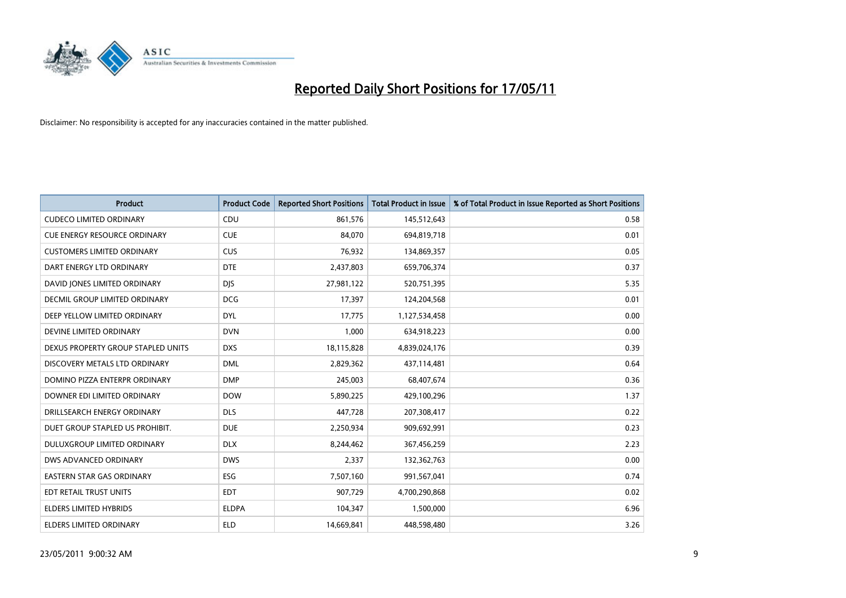

| <b>Product</b>                      | <b>Product Code</b> | <b>Reported Short Positions</b> | <b>Total Product in Issue</b> | % of Total Product in Issue Reported as Short Positions |
|-------------------------------------|---------------------|---------------------------------|-------------------------------|---------------------------------------------------------|
| <b>CUDECO LIMITED ORDINARY</b>      | CDU                 | 861,576                         | 145,512,643                   | 0.58                                                    |
| <b>CUE ENERGY RESOURCE ORDINARY</b> | <b>CUE</b>          | 84,070                          | 694,819,718                   | 0.01                                                    |
| <b>CUSTOMERS LIMITED ORDINARY</b>   | CUS                 | 76,932                          | 134,869,357                   | 0.05                                                    |
| DART ENERGY LTD ORDINARY            | <b>DTE</b>          | 2,437,803                       | 659,706,374                   | 0.37                                                    |
| DAVID JONES LIMITED ORDINARY        | <b>DIS</b>          | 27,981,122                      | 520,751,395                   | 5.35                                                    |
| DECMIL GROUP LIMITED ORDINARY       | <b>DCG</b>          | 17,397                          | 124,204,568                   | 0.01                                                    |
| DEEP YELLOW LIMITED ORDINARY        | <b>DYL</b>          | 17,775                          | 1,127,534,458                 | 0.00                                                    |
| DEVINE LIMITED ORDINARY             | <b>DVN</b>          | 1,000                           | 634,918,223                   | 0.00                                                    |
| DEXUS PROPERTY GROUP STAPLED UNITS  | <b>DXS</b>          | 18,115,828                      | 4,839,024,176                 | 0.39                                                    |
| DISCOVERY METALS LTD ORDINARY       | <b>DML</b>          | 2,829,362                       | 437,114,481                   | 0.64                                                    |
| DOMINO PIZZA ENTERPR ORDINARY       | <b>DMP</b>          | 245,003                         | 68,407,674                    | 0.36                                                    |
| DOWNER EDI LIMITED ORDINARY         | <b>DOW</b>          | 5,890,225                       | 429,100,296                   | 1.37                                                    |
| DRILLSEARCH ENERGY ORDINARY         | <b>DLS</b>          | 447,728                         | 207,308,417                   | 0.22                                                    |
| DUET GROUP STAPLED US PROHIBIT.     | <b>DUE</b>          | 2,250,934                       | 909,692,991                   | 0.23                                                    |
| DULUXGROUP LIMITED ORDINARY         | <b>DLX</b>          | 8,244,462                       | 367,456,259                   | 2.23                                                    |
| DWS ADVANCED ORDINARY               | <b>DWS</b>          | 2,337                           | 132,362,763                   | 0.00                                                    |
| EASTERN STAR GAS ORDINARY           | ESG                 | 7,507,160                       | 991,567,041                   | 0.74                                                    |
| EDT RETAIL TRUST UNITS              | <b>EDT</b>          | 907,729                         | 4,700,290,868                 | 0.02                                                    |
| ELDERS LIMITED HYBRIDS              | <b>ELDPA</b>        | 104,347                         | 1,500,000                     | 6.96                                                    |
| ELDERS LIMITED ORDINARY             | <b>ELD</b>          | 14,669,841                      | 448,598,480                   | 3.26                                                    |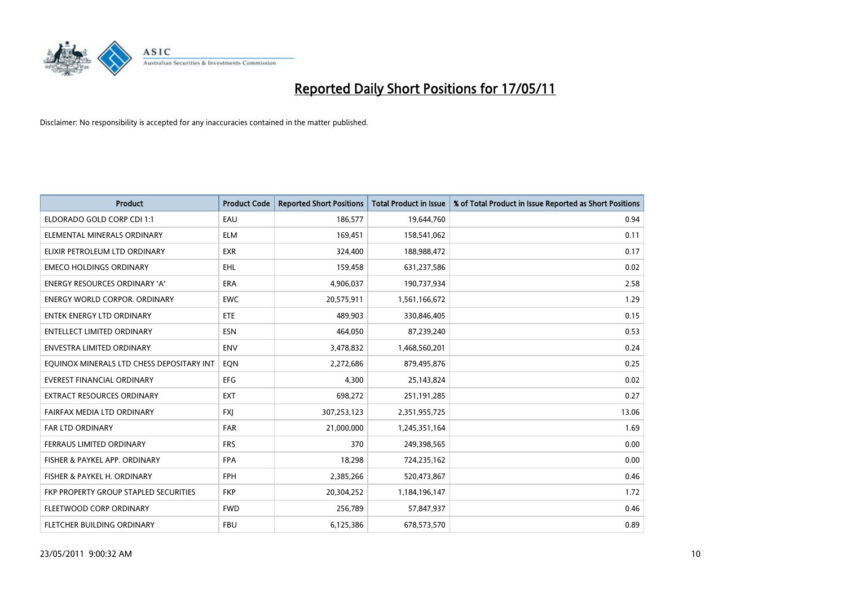

| <b>Product</b>                            | <b>Product Code</b> | <b>Reported Short Positions</b> | Total Product in Issue | % of Total Product in Issue Reported as Short Positions |
|-------------------------------------------|---------------------|---------------------------------|------------------------|---------------------------------------------------------|
| ELDORADO GOLD CORP CDI 1:1                | EAU                 | 186,577                         | 19,644,760             | 0.94                                                    |
| ELEMENTAL MINERALS ORDINARY               | <b>ELM</b>          | 169,451                         | 158,541,062            | 0.11                                                    |
| ELIXIR PETROLEUM LTD ORDINARY             | <b>EXR</b>          | 324,400                         | 188,988,472            | 0.17                                                    |
| <b>EMECO HOLDINGS ORDINARY</b>            | <b>EHL</b>          | 159,458                         | 631,237,586            | 0.02                                                    |
| <b>ENERGY RESOURCES ORDINARY 'A'</b>      | <b>ERA</b>          | 4,906,037                       | 190,737,934            | 2.58                                                    |
| <b>ENERGY WORLD CORPOR, ORDINARY</b>      | <b>EWC</b>          | 20,575,911                      | 1,561,166,672          | 1.29                                                    |
| <b>ENTEK ENERGY LTD ORDINARY</b>          | ETE                 | 489.903                         | 330,846,405            | 0.15                                                    |
| <b>ENTELLECT LIMITED ORDINARY</b>         | <b>ESN</b>          | 464,050                         | 87,239,240             | 0.53                                                    |
| ENVESTRA LIMITED ORDINARY                 | <b>ENV</b>          | 3,478,832                       | 1,468,560,201          | 0.24                                                    |
| EQUINOX MINERALS LTD CHESS DEPOSITARY INT | EON                 | 2,272,686                       | 879,495,876            | 0.25                                                    |
| EVEREST FINANCIAL ORDINARY                | <b>EFG</b>          | 4,300                           | 25,143,824             | 0.02                                                    |
| <b>EXTRACT RESOURCES ORDINARY</b>         | <b>EXT</b>          | 698,272                         | 251,191,285            | 0.27                                                    |
| FAIRFAX MEDIA LTD ORDINARY                | <b>FXI</b>          | 307,253,123                     | 2,351,955,725          | 13.06                                                   |
| <b>FAR LTD ORDINARY</b>                   | <b>FAR</b>          | 21,000,000                      | 1,245,351,164          | 1.69                                                    |
| FERRAUS LIMITED ORDINARY                  | <b>FRS</b>          | 370                             | 249,398,565            | 0.00                                                    |
| FISHER & PAYKEL APP. ORDINARY             | <b>FPA</b>          | 18,298                          | 724,235,162            | 0.00                                                    |
| FISHER & PAYKEL H. ORDINARY               | <b>FPH</b>          | 2,385,266                       | 520,473,867            | 0.46                                                    |
| FKP PROPERTY GROUP STAPLED SECURITIES     | <b>FKP</b>          | 20,304,252                      | 1,184,196,147          | 1.72                                                    |
| FLEETWOOD CORP ORDINARY                   | <b>FWD</b>          | 256,789                         | 57,847,937             | 0.46                                                    |
| <b>FLETCHER BUILDING ORDINARY</b>         | <b>FBU</b>          | 6,125,386                       | 678,573,570            | 0.89                                                    |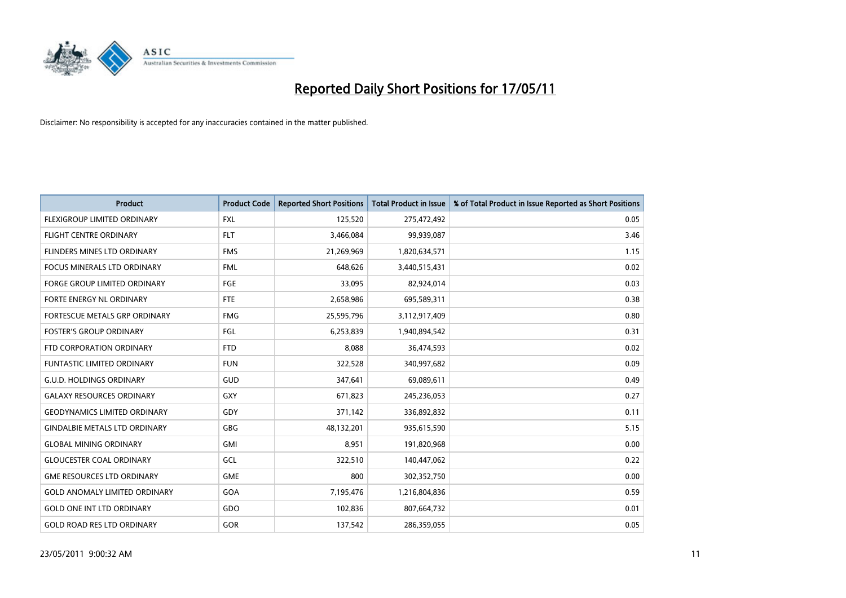

| <b>Product</b>                       | <b>Product Code</b> | <b>Reported Short Positions</b> | Total Product in Issue | % of Total Product in Issue Reported as Short Positions |
|--------------------------------------|---------------------|---------------------------------|------------------------|---------------------------------------------------------|
| <b>FLEXIGROUP LIMITED ORDINARY</b>   | <b>FXL</b>          | 125,520                         | 275,472,492            | 0.05                                                    |
| FLIGHT CENTRE ORDINARY               | <b>FLT</b>          | 3,466,084                       | 99,939,087             | 3.46                                                    |
| FLINDERS MINES LTD ORDINARY          | <b>FMS</b>          | 21,269,969                      | 1,820,634,571          | 1.15                                                    |
| FOCUS MINERALS LTD ORDINARY          | <b>FML</b>          | 648,626                         | 3,440,515,431          | 0.02                                                    |
| <b>FORGE GROUP LIMITED ORDINARY</b>  | <b>FGE</b>          | 33,095                          | 82,924,014             | 0.03                                                    |
| FORTE ENERGY NL ORDINARY             | <b>FTE</b>          | 2,658,986                       | 695,589,311            | 0.38                                                    |
| FORTESCUE METALS GRP ORDINARY        | <b>FMG</b>          | 25,595,796                      | 3,112,917,409          | 0.80                                                    |
| <b>FOSTER'S GROUP ORDINARY</b>       | FGL                 | 6,253,839                       | 1,940,894,542          | 0.31                                                    |
| FTD CORPORATION ORDINARY             | <b>FTD</b>          | 8,088                           | 36,474,593             | 0.02                                                    |
| <b>FUNTASTIC LIMITED ORDINARY</b>    | <b>FUN</b>          | 322,528                         | 340,997,682            | 0.09                                                    |
| <b>G.U.D. HOLDINGS ORDINARY</b>      | <b>GUD</b>          | 347,641                         | 69,089,611             | 0.49                                                    |
| <b>GALAXY RESOURCES ORDINARY</b>     | <b>GXY</b>          | 671,823                         | 245,236,053            | 0.27                                                    |
| GEODYNAMICS LIMITED ORDINARY         | GDY                 | 371,142                         | 336,892,832            | 0.11                                                    |
| <b>GINDALBIE METALS LTD ORDINARY</b> | GBG                 | 48,132,201                      | 935,615,590            | 5.15                                                    |
| <b>GLOBAL MINING ORDINARY</b>        | <b>GMI</b>          | 8.951                           | 191,820,968            | 0.00                                                    |
| <b>GLOUCESTER COAL ORDINARY</b>      | GCL                 | 322,510                         | 140,447,062            | 0.22                                                    |
| <b>GME RESOURCES LTD ORDINARY</b>    | <b>GME</b>          | 800                             | 302,352,750            | 0.00                                                    |
| <b>GOLD ANOMALY LIMITED ORDINARY</b> | GOA                 | 7,195,476                       | 1,216,804,836          | 0.59                                                    |
| <b>GOLD ONE INT LTD ORDINARY</b>     | GDO                 | 102,836                         | 807,664,732            | 0.01                                                    |
| <b>GOLD ROAD RES LTD ORDINARY</b>    | GOR                 | 137,542                         | 286,359,055            | 0.05                                                    |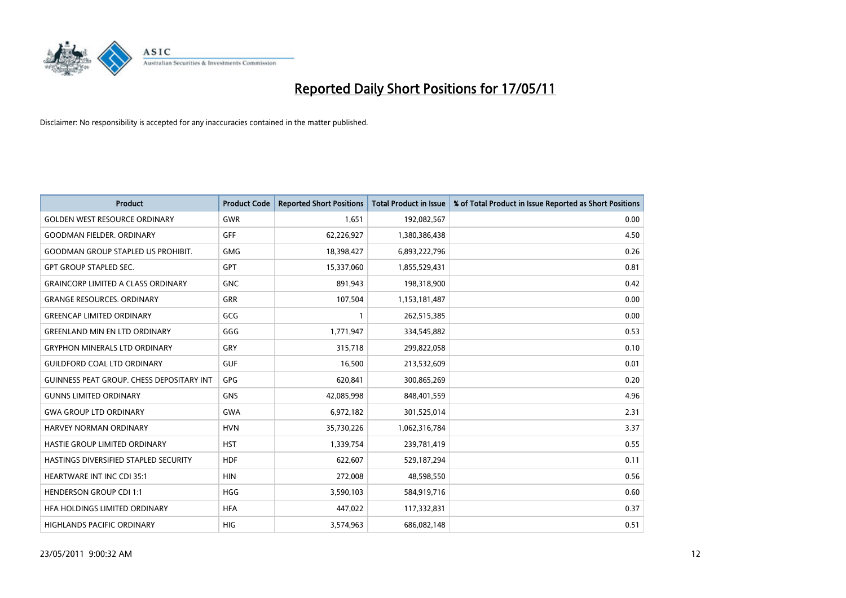

| <b>Product</b>                                   | <b>Product Code</b> | <b>Reported Short Positions</b> | <b>Total Product in Issue</b> | % of Total Product in Issue Reported as Short Positions |
|--------------------------------------------------|---------------------|---------------------------------|-------------------------------|---------------------------------------------------------|
| <b>GOLDEN WEST RESOURCE ORDINARY</b>             | <b>GWR</b>          | 1.651                           | 192,082,567                   | 0.00                                                    |
| <b>GOODMAN FIELDER, ORDINARY</b>                 | <b>GFF</b>          | 62,226,927                      | 1,380,386,438                 | 4.50                                                    |
| <b>GOODMAN GROUP STAPLED US PROHIBIT.</b>        | <b>GMG</b>          | 18,398,427                      | 6,893,222,796                 | 0.26                                                    |
| <b>GPT GROUP STAPLED SEC.</b>                    | <b>GPT</b>          | 15,337,060                      | 1,855,529,431                 | 0.81                                                    |
| <b>GRAINCORP LIMITED A CLASS ORDINARY</b>        | <b>GNC</b>          | 891,943                         | 198,318,900                   | 0.42                                                    |
| <b>GRANGE RESOURCES. ORDINARY</b>                | <b>GRR</b>          | 107,504                         | 1,153,181,487                 | 0.00                                                    |
| <b>GREENCAP LIMITED ORDINARY</b>                 | GCG                 |                                 | 262,515,385                   | 0.00                                                    |
| <b>GREENLAND MIN EN LTD ORDINARY</b>             | GGG                 | 1,771,947                       | 334,545,882                   | 0.53                                                    |
| <b>GRYPHON MINERALS LTD ORDINARY</b>             | GRY                 | 315,718                         | 299,822,058                   | 0.10                                                    |
| <b>GUILDFORD COAL LTD ORDINARY</b>               | <b>GUF</b>          | 16,500                          | 213,532,609                   | 0.01                                                    |
| <b>GUINNESS PEAT GROUP. CHESS DEPOSITARY INT</b> | GPG                 | 620,841                         | 300,865,269                   | 0.20                                                    |
| <b>GUNNS LIMITED ORDINARY</b>                    | <b>GNS</b>          | 42,085,998                      | 848,401,559                   | 4.96                                                    |
| <b>GWA GROUP LTD ORDINARY</b>                    | <b>GWA</b>          | 6,972,182                       | 301,525,014                   | 2.31                                                    |
| <b>HARVEY NORMAN ORDINARY</b>                    | <b>HVN</b>          | 35,730,226                      | 1,062,316,784                 | 3.37                                                    |
| HASTIE GROUP LIMITED ORDINARY                    | <b>HST</b>          | 1,339,754                       | 239,781,419                   | 0.55                                                    |
| HASTINGS DIVERSIFIED STAPLED SECURITY            | <b>HDF</b>          | 622,607                         | 529,187,294                   | 0.11                                                    |
| HEARTWARE INT INC CDI 35:1                       | <b>HIN</b>          | 272,008                         | 48,598,550                    | 0.56                                                    |
| <b>HENDERSON GROUP CDI 1:1</b>                   | HGG                 | 3,590,103                       | 584,919,716                   | 0.60                                                    |
| HFA HOLDINGS LIMITED ORDINARY                    | <b>HFA</b>          | 447,022                         | 117,332,831                   | 0.37                                                    |
| <b>HIGHLANDS PACIFIC ORDINARY</b>                | <b>HIG</b>          | 3,574,963                       | 686,082,148                   | 0.51                                                    |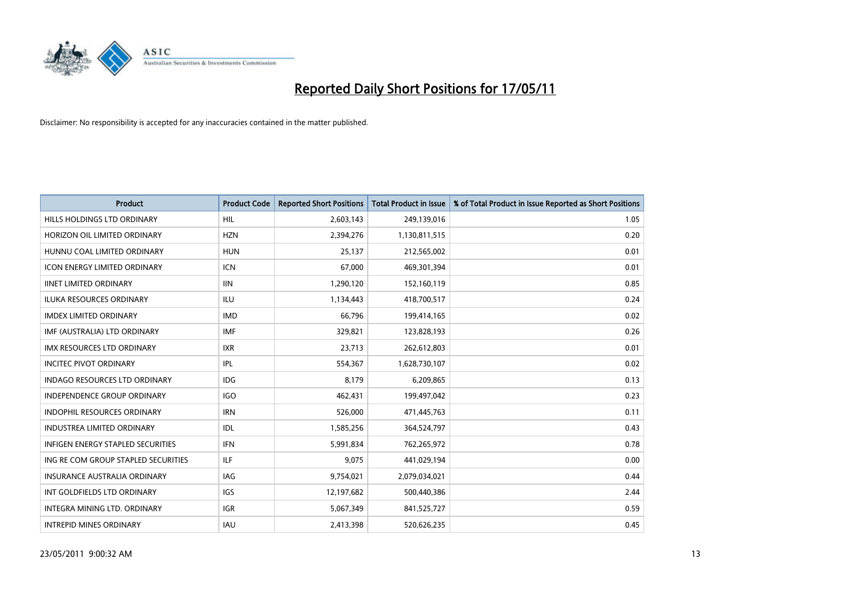

| <b>Product</b>                           | <b>Product Code</b> | <b>Reported Short Positions</b> | <b>Total Product in Issue</b> | % of Total Product in Issue Reported as Short Positions |
|------------------------------------------|---------------------|---------------------------------|-------------------------------|---------------------------------------------------------|
| <b>HILLS HOLDINGS LTD ORDINARY</b>       | <b>HIL</b>          | 2,603,143                       | 249,139,016                   | 1.05                                                    |
| HORIZON OIL LIMITED ORDINARY             | <b>HZN</b>          | 2,394,276                       | 1,130,811,515                 | 0.20                                                    |
| HUNNU COAL LIMITED ORDINARY              | <b>HUN</b>          | 25,137                          | 212,565,002                   | 0.01                                                    |
| ICON ENERGY LIMITED ORDINARY             | <b>ICN</b>          | 67,000                          | 469,301,394                   | 0.01                                                    |
| <b>IINET LIMITED ORDINARY</b>            | <b>IIN</b>          | 1,290,120                       | 152,160,119                   | 0.85                                                    |
| <b>ILUKA RESOURCES ORDINARY</b>          | <b>ILU</b>          | 1,134,443                       | 418,700,517                   | 0.24                                                    |
| <b>IMDEX LIMITED ORDINARY</b>            | <b>IMD</b>          | 66.796                          | 199,414,165                   | 0.02                                                    |
| IMF (AUSTRALIA) LTD ORDINARY             | <b>IMF</b>          | 329,821                         | 123,828,193                   | 0.26                                                    |
| IMX RESOURCES LTD ORDINARY               | <b>IXR</b>          | 23,713                          | 262,612,803                   | 0.01                                                    |
| <b>INCITEC PIVOT ORDINARY</b>            | IPL                 | 554,367                         | 1,628,730,107                 | 0.02                                                    |
| <b>INDAGO RESOURCES LTD ORDINARY</b>     | <b>IDG</b>          | 8,179                           | 6,209,865                     | 0.13                                                    |
| <b>INDEPENDENCE GROUP ORDINARY</b>       | <b>IGO</b>          | 462,431                         | 199,497,042                   | 0.23                                                    |
| INDOPHIL RESOURCES ORDINARY              | <b>IRN</b>          | 526,000                         | 471,445,763                   | 0.11                                                    |
| <b>INDUSTREA LIMITED ORDINARY</b>        | IDL                 | 1,585,256                       | 364,524,797                   | 0.43                                                    |
| <b>INFIGEN ENERGY STAPLED SECURITIES</b> | <b>IFN</b>          | 5,991,834                       | 762,265,972                   | 0.78                                                    |
| ING RE COM GROUP STAPLED SECURITIES      | <b>ILF</b>          | 9,075                           | 441,029,194                   | 0.00                                                    |
| <b>INSURANCE AUSTRALIA ORDINARY</b>      | <b>IAG</b>          | 9,754,021                       | 2,079,034,021                 | 0.44                                                    |
| INT GOLDFIELDS LTD ORDINARY              | <b>IGS</b>          | 12,197,682                      | 500,440,386                   | 2.44                                                    |
| <b>INTEGRA MINING LTD, ORDINARY</b>      | <b>IGR</b>          | 5,067,349                       | 841,525,727                   | 0.59                                                    |
| <b>INTREPID MINES ORDINARY</b>           | <b>IAU</b>          | 2,413,398                       | 520,626,235                   | 0.45                                                    |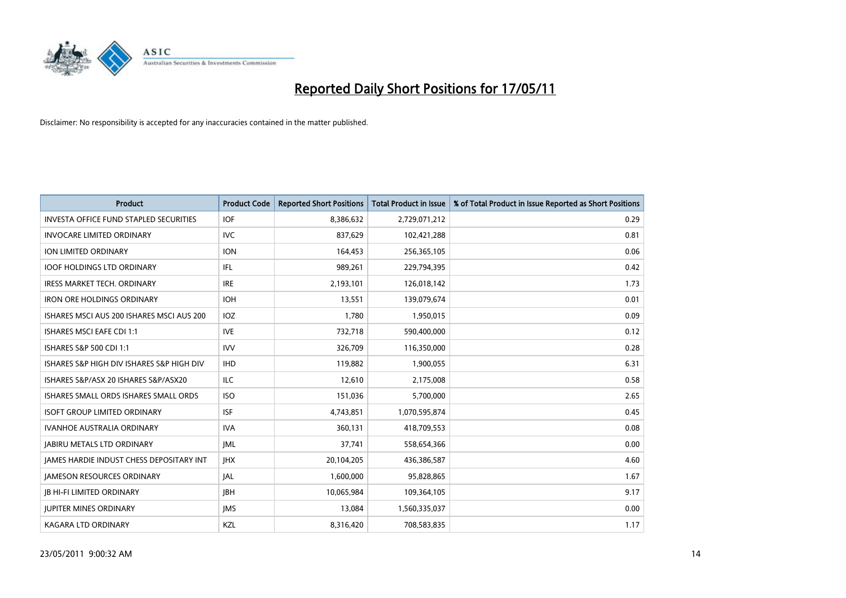

| <b>Product</b>                                  | <b>Product Code</b> | <b>Reported Short Positions</b> | Total Product in Issue | % of Total Product in Issue Reported as Short Positions |
|-------------------------------------------------|---------------------|---------------------------------|------------------------|---------------------------------------------------------|
| <b>INVESTA OFFICE FUND STAPLED SECURITIES</b>   | <b>IOF</b>          | 8,386,632                       | 2,729,071,212          | 0.29                                                    |
| <b>INVOCARE LIMITED ORDINARY</b>                | <b>IVC</b>          | 837.629                         | 102,421,288            | 0.81                                                    |
| <b>ION LIMITED ORDINARY</b>                     | <b>ION</b>          | 164,453                         | 256,365,105            | 0.06                                                    |
| <b>IOOF HOLDINGS LTD ORDINARY</b>               | <b>IFL</b>          | 989,261                         | 229,794,395            | 0.42                                                    |
| <b>IRESS MARKET TECH. ORDINARY</b>              | <b>IRE</b>          | 2,193,101                       | 126,018,142            | 1.73                                                    |
| <b>IRON ORE HOLDINGS ORDINARY</b>               | <b>IOH</b>          | 13,551                          | 139,079,674            | 0.01                                                    |
| ISHARES MSCI AUS 200 ISHARES MSCI AUS 200       | <b>IOZ</b>          | 1.780                           | 1,950,015              | 0.09                                                    |
| <b>ISHARES MSCI EAFE CDI 1:1</b>                | <b>IVE</b>          | 732,718                         | 590,400,000            | 0.12                                                    |
| <b>ISHARES S&amp;P 500 CDI 1:1</b>              | <b>IVV</b>          | 326,709                         | 116,350,000            | 0.28                                                    |
| ISHARES S&P HIGH DIV ISHARES S&P HIGH DIV       | <b>IHD</b>          | 119,882                         | 1,900,055              | 6.31                                                    |
| ISHARES S&P/ASX 20 ISHARES S&P/ASX20            | <b>ILC</b>          | 12,610                          | 2,175,008              | 0.58                                                    |
| ISHARES SMALL ORDS ISHARES SMALL ORDS           | <b>ISO</b>          | 151,036                         | 5,700,000              | 2.65                                                    |
| <b>ISOFT GROUP LIMITED ORDINARY</b>             | <b>ISF</b>          | 4,743,851                       | 1,070,595,874          | 0.45                                                    |
| <b>IVANHOE AUSTRALIA ORDINARY</b>               | <b>IVA</b>          | 360.131                         | 418,709,553            | 0.08                                                    |
| <b>JABIRU METALS LTD ORDINARY</b>               | JML                 | 37,741                          | 558,654,366            | 0.00                                                    |
| <b>JAMES HARDIE INDUST CHESS DEPOSITARY INT</b> | <b>IHX</b>          | 20,104,205                      | 436,386,587            | 4.60                                                    |
| <b>JAMESON RESOURCES ORDINARY</b>               | <b>JAL</b>          | 1,600,000                       | 95,828,865             | 1.67                                                    |
| <b>JB HI-FI LIMITED ORDINARY</b>                | <b>IBH</b>          | 10,065,984                      | 109,364,105            | 9.17                                                    |
| <b>IUPITER MINES ORDINARY</b>                   | <b>IMS</b>          | 13,084                          | 1,560,335,037          | 0.00                                                    |
| <b>KAGARA LTD ORDINARY</b>                      | KZL                 | 8,316,420                       | 708,583,835            | 1.17                                                    |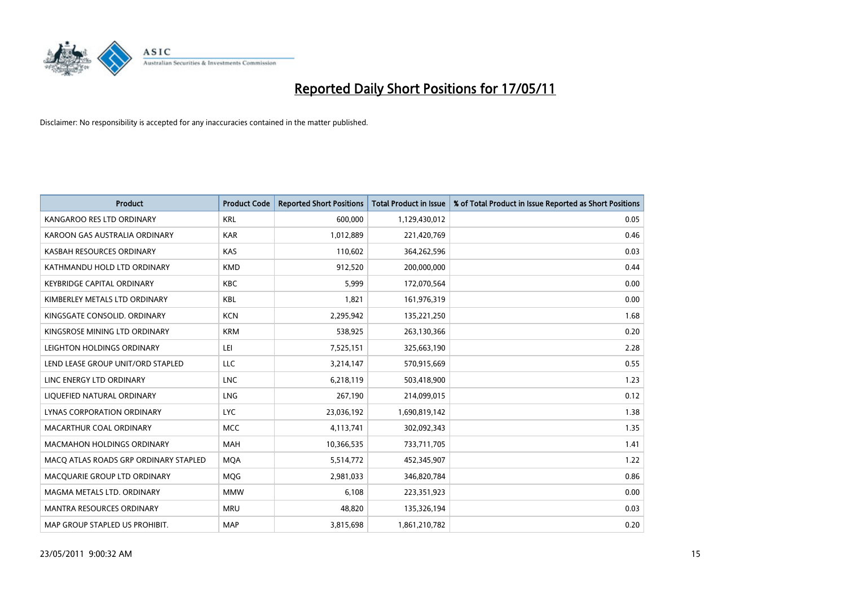

| <b>Product</b>                        | <b>Product Code</b> | <b>Reported Short Positions</b> | <b>Total Product in Issue</b> | % of Total Product in Issue Reported as Short Positions |
|---------------------------------------|---------------------|---------------------------------|-------------------------------|---------------------------------------------------------|
| KANGAROO RES LTD ORDINARY             | <b>KRL</b>          | 600,000                         | 1,129,430,012                 | 0.05                                                    |
| KAROON GAS AUSTRALIA ORDINARY         | <b>KAR</b>          | 1,012,889                       | 221,420,769                   | 0.46                                                    |
| KASBAH RESOURCES ORDINARY             | <b>KAS</b>          | 110,602                         | 364,262,596                   | 0.03                                                    |
| KATHMANDU HOLD LTD ORDINARY           | <b>KMD</b>          | 912,520                         | 200,000,000                   | 0.44                                                    |
| <b>KEYBRIDGE CAPITAL ORDINARY</b>     | <b>KBC</b>          | 5,999                           | 172,070,564                   | 0.00                                                    |
| KIMBERLEY METALS LTD ORDINARY         | <b>KBL</b>          | 1,821                           | 161,976,319                   | 0.00                                                    |
| KINGSGATE CONSOLID, ORDINARY          | <b>KCN</b>          | 2,295,942                       | 135,221,250                   | 1.68                                                    |
| KINGSROSE MINING LTD ORDINARY         | <b>KRM</b>          | 538,925                         | 263,130,366                   | 0.20                                                    |
| LEIGHTON HOLDINGS ORDINARY            | LEI                 | 7,525,151                       | 325,663,190                   | 2.28                                                    |
| LEND LEASE GROUP UNIT/ORD STAPLED     | LLC                 | 3,214,147                       | 570,915,669                   | 0.55                                                    |
| LINC ENERGY LTD ORDINARY              | <b>LNC</b>          | 6,218,119                       | 503,418,900                   | 1.23                                                    |
| LIQUEFIED NATURAL ORDINARY            | LNG                 | 267,190                         | 214,099,015                   | 0.12                                                    |
| LYNAS CORPORATION ORDINARY            | <b>LYC</b>          | 23,036,192                      | 1,690,819,142                 | 1.38                                                    |
| MACARTHUR COAL ORDINARY               | <b>MCC</b>          | 4,113,741                       | 302,092,343                   | 1.35                                                    |
| <b>MACMAHON HOLDINGS ORDINARY</b>     | <b>MAH</b>          | 10,366,535                      | 733,711,705                   | 1.41                                                    |
| MACQ ATLAS ROADS GRP ORDINARY STAPLED | <b>MOA</b>          | 5,514,772                       | 452,345,907                   | 1.22                                                    |
| MACQUARIE GROUP LTD ORDINARY          | MQG                 | 2,981,033                       | 346,820,784                   | 0.86                                                    |
| MAGMA METALS LTD. ORDINARY            | <b>MMW</b>          | 6,108                           | 223,351,923                   | 0.00                                                    |
| <b>MANTRA RESOURCES ORDINARY</b>      | <b>MRU</b>          | 48,820                          | 135,326,194                   | 0.03                                                    |
| MAP GROUP STAPLED US PROHIBIT.        | <b>MAP</b>          | 3,815,698                       | 1,861,210,782                 | 0.20                                                    |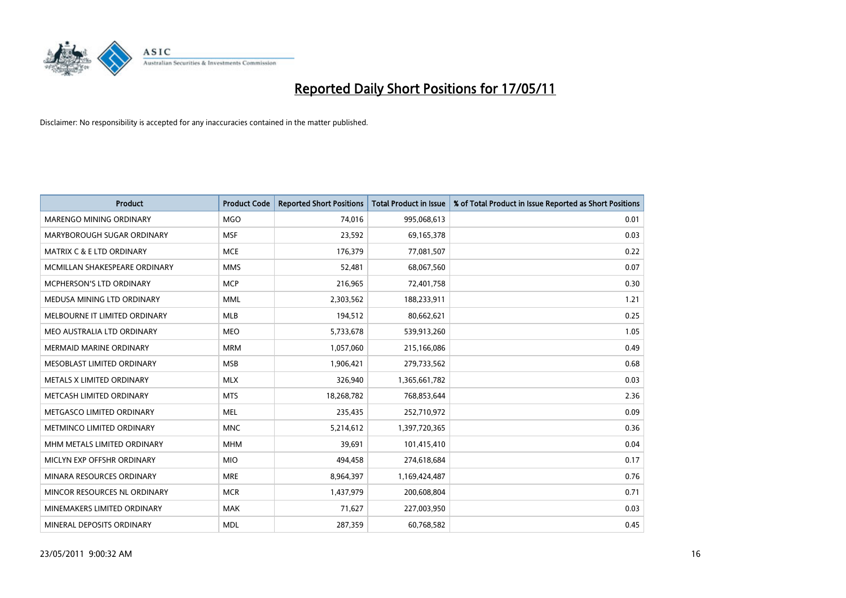

| <b>Product</b>                  | <b>Product Code</b> | <b>Reported Short Positions</b> | Total Product in Issue | % of Total Product in Issue Reported as Short Positions |
|---------------------------------|---------------------|---------------------------------|------------------------|---------------------------------------------------------|
| <b>MARENGO MINING ORDINARY</b>  | <b>MGO</b>          | 74,016                          | 995,068,613            | 0.01                                                    |
| MARYBOROUGH SUGAR ORDINARY      | <b>MSF</b>          | 23,592                          | 69,165,378             | 0.03                                                    |
| MATRIX C & E LTD ORDINARY       | <b>MCE</b>          | 176,379                         | 77,081,507             | 0.22                                                    |
| MCMILLAN SHAKESPEARE ORDINARY   | <b>MMS</b>          | 52,481                          | 68,067,560             | 0.07                                                    |
| <b>MCPHERSON'S LTD ORDINARY</b> | <b>MCP</b>          | 216,965                         | 72,401,758             | 0.30                                                    |
| MEDUSA MINING LTD ORDINARY      | <b>MML</b>          | 2,303,562                       | 188,233,911            | 1.21                                                    |
| MELBOURNE IT LIMITED ORDINARY   | <b>MLB</b>          | 194,512                         | 80,662,621             | 0.25                                                    |
| MEO AUSTRALIA LTD ORDINARY      | <b>MEO</b>          | 5,733,678                       | 539,913,260            | 1.05                                                    |
| <b>MERMAID MARINE ORDINARY</b>  | <b>MRM</b>          | 1,057,060                       | 215,166,086            | 0.49                                                    |
| MESOBLAST LIMITED ORDINARY      | <b>MSB</b>          | 1,906,421                       | 279,733,562            | 0.68                                                    |
| METALS X LIMITED ORDINARY       | <b>MLX</b>          | 326,940                         | 1,365,661,782          | 0.03                                                    |
| METCASH LIMITED ORDINARY        | <b>MTS</b>          | 18,268,782                      | 768,853,644            | 2.36                                                    |
| METGASCO LIMITED ORDINARY       | <b>MEL</b>          | 235,435                         | 252,710,972            | 0.09                                                    |
| METMINCO LIMITED ORDINARY       | <b>MNC</b>          | 5,214,612                       | 1,397,720,365          | 0.36                                                    |
| MHM METALS LIMITED ORDINARY     | <b>MHM</b>          | 39,691                          | 101,415,410            | 0.04                                                    |
| MICLYN EXP OFFSHR ORDINARY      | <b>MIO</b>          | 494,458                         | 274,618,684            | 0.17                                                    |
| MINARA RESOURCES ORDINARY       | <b>MRE</b>          | 8,964,397                       | 1,169,424,487          | 0.76                                                    |
| MINCOR RESOURCES NL ORDINARY    | <b>MCR</b>          | 1,437,979                       | 200,608,804            | 0.71                                                    |
| MINEMAKERS LIMITED ORDINARY     | <b>MAK</b>          | 71,627                          | 227,003,950            | 0.03                                                    |
| MINERAL DEPOSITS ORDINARY       | <b>MDL</b>          | 287,359                         | 60,768,582             | 0.45                                                    |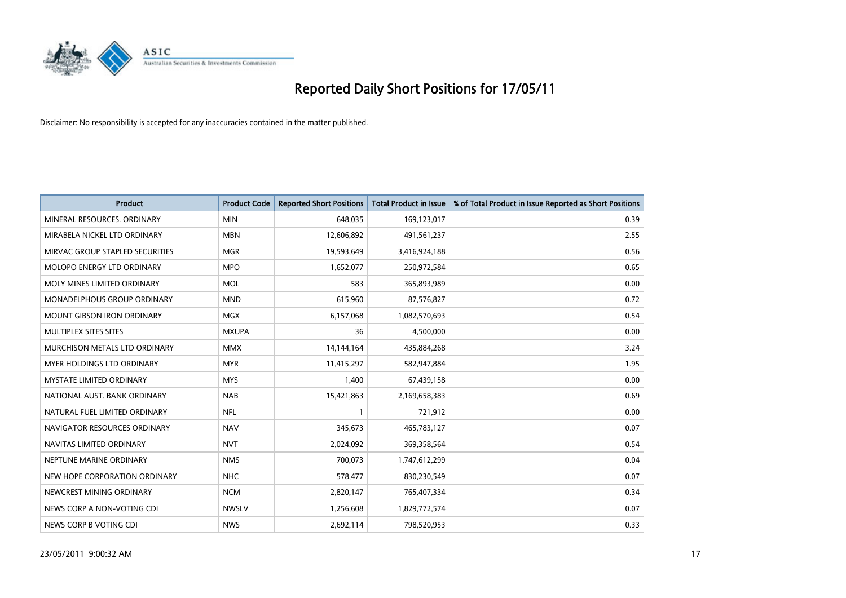

| <b>Product</b>                     | <b>Product Code</b> | <b>Reported Short Positions</b> | <b>Total Product in Issue</b> | % of Total Product in Issue Reported as Short Positions |
|------------------------------------|---------------------|---------------------------------|-------------------------------|---------------------------------------------------------|
| MINERAL RESOURCES, ORDINARY        | <b>MIN</b>          | 648,035                         | 169,123,017                   | 0.39                                                    |
| MIRABELA NICKEL LTD ORDINARY       | <b>MBN</b>          | 12,606,892                      | 491,561,237                   | 2.55                                                    |
| MIRVAC GROUP STAPLED SECURITIES    | <b>MGR</b>          | 19,593,649                      | 3,416,924,188                 | 0.56                                                    |
| MOLOPO ENERGY LTD ORDINARY         | <b>MPO</b>          | 1,652,077                       | 250,972,584                   | 0.65                                                    |
| MOLY MINES LIMITED ORDINARY        | <b>MOL</b>          | 583                             | 365,893,989                   | 0.00                                                    |
| <b>MONADELPHOUS GROUP ORDINARY</b> | <b>MND</b>          | 615,960                         | 87,576,827                    | 0.72                                                    |
| <b>MOUNT GIBSON IRON ORDINARY</b>  | <b>MGX</b>          | 6,157,068                       | 1,082,570,693                 | 0.54                                                    |
| <b>MULTIPLEX SITES SITES</b>       | <b>MXUPA</b>        | 36                              | 4,500,000                     | 0.00                                                    |
| MURCHISON METALS LTD ORDINARY      | <b>MMX</b>          | 14,144,164                      | 435,884,268                   | 3.24                                                    |
| MYER HOLDINGS LTD ORDINARY         | <b>MYR</b>          | 11,415,297                      | 582,947,884                   | 1.95                                                    |
| MYSTATE LIMITED ORDINARY           | <b>MYS</b>          | 1,400                           | 67,439,158                    | 0.00                                                    |
| NATIONAL AUST, BANK ORDINARY       | <b>NAB</b>          | 15,421,863                      | 2,169,658,383                 | 0.69                                                    |
| NATURAL FUEL LIMITED ORDINARY      | <b>NFL</b>          |                                 | 721,912                       | 0.00                                                    |
| NAVIGATOR RESOURCES ORDINARY       | <b>NAV</b>          | 345,673                         | 465,783,127                   | 0.07                                                    |
| NAVITAS LIMITED ORDINARY           | <b>NVT</b>          | 2,024,092                       | 369,358,564                   | 0.54                                                    |
| NEPTUNE MARINE ORDINARY            | <b>NMS</b>          | 700,073                         | 1,747,612,299                 | 0.04                                                    |
| NEW HOPE CORPORATION ORDINARY      | <b>NHC</b>          | 578,477                         | 830,230,549                   | 0.07                                                    |
| NEWCREST MINING ORDINARY           | <b>NCM</b>          | 2,820,147                       | 765,407,334                   | 0.34                                                    |
| NEWS CORP A NON-VOTING CDI         | <b>NWSLV</b>        | 1,256,608                       | 1,829,772,574                 | 0.07                                                    |
| NEWS CORP B VOTING CDI             | <b>NWS</b>          | 2,692,114                       | 798,520,953                   | 0.33                                                    |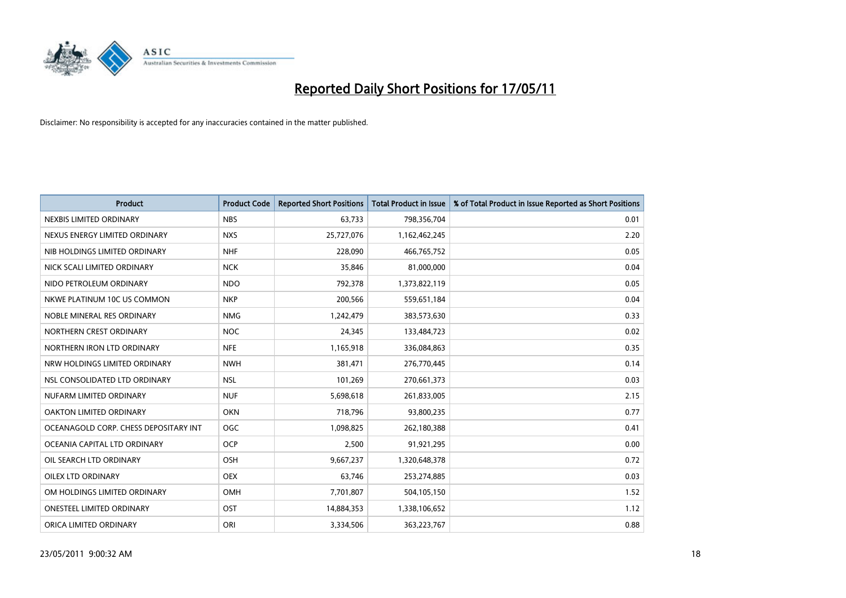

| <b>Product</b>                        | <b>Product Code</b> | <b>Reported Short Positions</b> | <b>Total Product in Issue</b> | % of Total Product in Issue Reported as Short Positions |
|---------------------------------------|---------------------|---------------------------------|-------------------------------|---------------------------------------------------------|
| NEXBIS LIMITED ORDINARY               | <b>NBS</b>          | 63,733                          | 798,356,704                   | 0.01                                                    |
| NEXUS ENERGY LIMITED ORDINARY         | <b>NXS</b>          | 25,727,076                      | 1,162,462,245                 | 2.20                                                    |
| NIB HOLDINGS LIMITED ORDINARY         | <b>NHF</b>          | 228.090                         | 466,765,752                   | 0.05                                                    |
| NICK SCALI LIMITED ORDINARY           | <b>NCK</b>          | 35,846                          | 81,000,000                    | 0.04                                                    |
| NIDO PETROLEUM ORDINARY               | <b>NDO</b>          | 792,378                         | 1,373,822,119                 | 0.05                                                    |
| NKWE PLATINUM 10C US COMMON           | <b>NKP</b>          | 200,566                         | 559,651,184                   | 0.04                                                    |
| NOBLE MINERAL RES ORDINARY            | <b>NMG</b>          | 1,242,479                       | 383,573,630                   | 0.33                                                    |
| NORTHERN CREST ORDINARY               | <b>NOC</b>          | 24,345                          | 133,484,723                   | 0.02                                                    |
| NORTHERN IRON LTD ORDINARY            | <b>NFE</b>          | 1,165,918                       | 336,084,863                   | 0.35                                                    |
| NRW HOLDINGS LIMITED ORDINARY         | <b>NWH</b>          | 381,471                         | 276,770,445                   | 0.14                                                    |
| NSL CONSOLIDATED LTD ORDINARY         | <b>NSL</b>          | 101,269                         | 270,661,373                   | 0.03                                                    |
| NUFARM LIMITED ORDINARY               | <b>NUF</b>          | 5,698,618                       | 261,833,005                   | 2.15                                                    |
| OAKTON LIMITED ORDINARY               | <b>OKN</b>          | 718,796                         | 93,800,235                    | 0.77                                                    |
| OCEANAGOLD CORP. CHESS DEPOSITARY INT | OGC                 | 1,098,825                       | 262,180,388                   | 0.41                                                    |
| OCEANIA CAPITAL LTD ORDINARY          | <b>OCP</b>          | 2,500                           | 91,921,295                    | 0.00                                                    |
| OIL SEARCH LTD ORDINARY               | OSH                 | 9,667,237                       | 1,320,648,378                 | 0.72                                                    |
| OILEX LTD ORDINARY                    | <b>OEX</b>          | 63,746                          | 253,274,885                   | 0.03                                                    |
| OM HOLDINGS LIMITED ORDINARY          | <b>OMH</b>          | 7,701,807                       | 504,105,150                   | 1.52                                                    |
| <b>ONESTEEL LIMITED ORDINARY</b>      | OST                 | 14,884,353                      | 1,338,106,652                 | 1.12                                                    |
| ORICA LIMITED ORDINARY                | ORI                 | 3,334,506                       | 363,223,767                   | 0.88                                                    |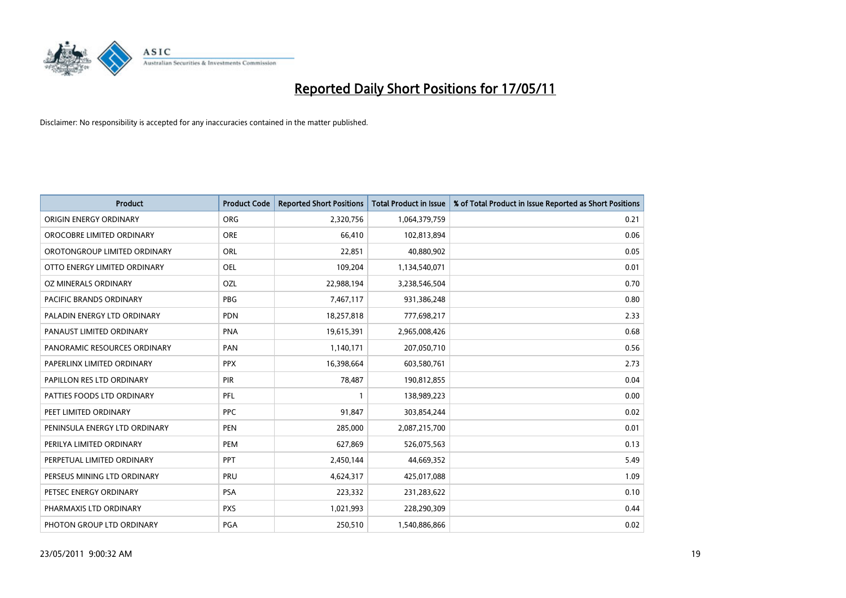

| <b>Product</b>                   | <b>Product Code</b> | <b>Reported Short Positions</b> | <b>Total Product in Issue</b> | % of Total Product in Issue Reported as Short Positions |
|----------------------------------|---------------------|---------------------------------|-------------------------------|---------------------------------------------------------|
| ORIGIN ENERGY ORDINARY           | <b>ORG</b>          | 2,320,756                       | 1,064,379,759                 | 0.21                                                    |
| OROCOBRE LIMITED ORDINARY        | <b>ORE</b>          | 66,410                          | 102,813,894                   | 0.06                                                    |
| OROTONGROUP LIMITED ORDINARY     | ORL                 | 22,851                          | 40,880,902                    | 0.05                                                    |
| OTTO ENERGY LIMITED ORDINARY     | <b>OEL</b>          | 109,204                         | 1,134,540,071                 | 0.01                                                    |
| OZ MINERALS ORDINARY             | <b>OZL</b>          | 22,988,194                      | 3,238,546,504                 | 0.70                                                    |
| <b>PACIFIC BRANDS ORDINARY</b>   | <b>PBG</b>          | 7,467,117                       | 931,386,248                   | 0.80                                                    |
| PALADIN ENERGY LTD ORDINARY      | <b>PDN</b>          | 18,257,818                      | 777,698,217                   | 2.33                                                    |
| PANAUST LIMITED ORDINARY         | <b>PNA</b>          | 19,615,391                      | 2,965,008,426                 | 0.68                                                    |
| PANORAMIC RESOURCES ORDINARY     | PAN                 | 1,140,171                       | 207,050,710                   | 0.56                                                    |
| PAPERLINX LIMITED ORDINARY       | <b>PPX</b>          | 16,398,664                      | 603,580,761                   | 2.73                                                    |
| <b>PAPILLON RES LTD ORDINARY</b> | <b>PIR</b>          | 78,487                          | 190,812,855                   | 0.04                                                    |
| PATTIES FOODS LTD ORDINARY       | PFL                 |                                 | 138,989,223                   | 0.00                                                    |
| PEET LIMITED ORDINARY            | <b>PPC</b>          | 91,847                          | 303,854,244                   | 0.02                                                    |
| PENINSULA ENERGY LTD ORDINARY    | <b>PEN</b>          | 285,000                         | 2,087,215,700                 | 0.01                                                    |
| PERILYA LIMITED ORDINARY         | PEM                 | 627,869                         | 526,075,563                   | 0.13                                                    |
| PERPETUAL LIMITED ORDINARY       | PPT                 | 2,450,144                       | 44,669,352                    | 5.49                                                    |
| PERSEUS MINING LTD ORDINARY      | PRU                 | 4,624,317                       | 425,017,088                   | 1.09                                                    |
| PETSEC ENERGY ORDINARY           | <b>PSA</b>          | 223,332                         | 231,283,622                   | 0.10                                                    |
| PHARMAXIS LTD ORDINARY           | <b>PXS</b>          | 1,021,993                       | 228,290,309                   | 0.44                                                    |
| PHOTON GROUP LTD ORDINARY        | <b>PGA</b>          | 250,510                         | 1,540,886,866                 | 0.02                                                    |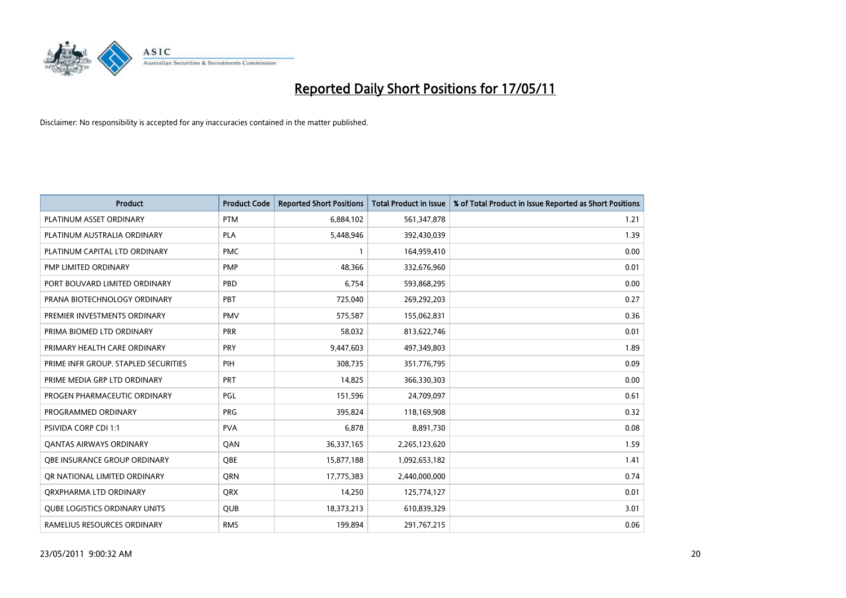

| <b>Product</b>                       | <b>Product Code</b> | <b>Reported Short Positions</b> | <b>Total Product in Issue</b> | % of Total Product in Issue Reported as Short Positions |
|--------------------------------------|---------------------|---------------------------------|-------------------------------|---------------------------------------------------------|
| PLATINUM ASSET ORDINARY              | <b>PTM</b>          | 6,884,102                       | 561,347,878                   | 1.21                                                    |
| PLATINUM AUSTRALIA ORDINARY          | <b>PLA</b>          | 5,448,946                       | 392,430,039                   | 1.39                                                    |
| PLATINUM CAPITAL LTD ORDINARY        | <b>PMC</b>          |                                 | 164,959,410                   | 0.00                                                    |
| PMP LIMITED ORDINARY                 | <b>PMP</b>          | 48,366                          | 332,676,960                   | 0.01                                                    |
| PORT BOUVARD LIMITED ORDINARY        | PBD                 | 6,754                           | 593,868,295                   | 0.00                                                    |
| PRANA BIOTECHNOLOGY ORDINARY         | PBT                 | 725,040                         | 269,292,203                   | 0.27                                                    |
| PREMIER INVESTMENTS ORDINARY         | <b>PMV</b>          | 575,587                         | 155,062,831                   | 0.36                                                    |
| PRIMA BIOMED LTD ORDINARY            | <b>PRR</b>          | 58,032                          | 813,622,746                   | 0.01                                                    |
| PRIMARY HEALTH CARE ORDINARY         | PRY                 | 9,447,603                       | 497,349,803                   | 1.89                                                    |
| PRIME INFR GROUP. STAPLED SECURITIES | PIH                 | 308,735                         | 351,776,795                   | 0.09                                                    |
| PRIME MEDIA GRP LTD ORDINARY         | <b>PRT</b>          | 14,825                          | 366,330,303                   | 0.00                                                    |
| PROGEN PHARMACEUTIC ORDINARY         | PGL                 | 151,596                         | 24,709,097                    | 0.61                                                    |
| PROGRAMMED ORDINARY                  | <b>PRG</b>          | 395,824                         | 118,169,908                   | 0.32                                                    |
| <b>PSIVIDA CORP CDI 1:1</b>          | <b>PVA</b>          | 6,878                           | 8,891,730                     | 0.08                                                    |
| <b>QANTAS AIRWAYS ORDINARY</b>       | QAN                 | 36,337,165                      | 2,265,123,620                 | 1.59                                                    |
| OBE INSURANCE GROUP ORDINARY         | OBE                 | 15,877,188                      | 1,092,653,182                 | 1.41                                                    |
| OR NATIONAL LIMITED ORDINARY         | <b>ORN</b>          | 17,775,383                      | 2,440,000,000                 | 0.74                                                    |
| ORXPHARMA LTD ORDINARY               | <b>ORX</b>          | 14,250                          | 125,774,127                   | 0.01                                                    |
| <b>QUBE LOGISTICS ORDINARY UNITS</b> | QUB                 | 18,373,213                      | 610,839,329                   | 3.01                                                    |
| RAMELIUS RESOURCES ORDINARY          | <b>RMS</b>          | 199,894                         | 291,767,215                   | 0.06                                                    |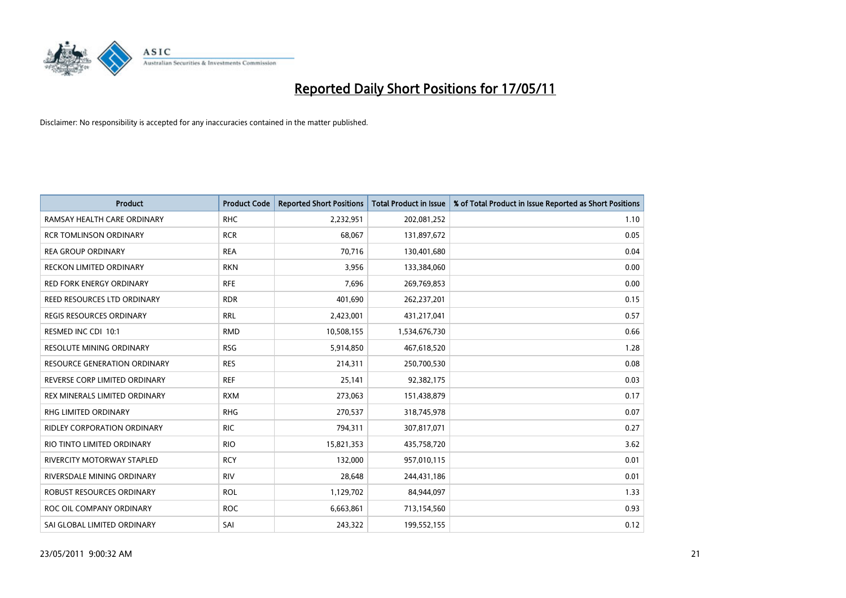

| <b>Product</b>                      | <b>Product Code</b> | <b>Reported Short Positions</b> | Total Product in Issue | % of Total Product in Issue Reported as Short Positions |
|-------------------------------------|---------------------|---------------------------------|------------------------|---------------------------------------------------------|
| RAMSAY HEALTH CARE ORDINARY         | <b>RHC</b>          | 2,232,951                       | 202,081,252            | 1.10                                                    |
| <b>RCR TOMLINSON ORDINARY</b>       | <b>RCR</b>          | 68,067                          | 131,897,672            | 0.05                                                    |
| <b>REA GROUP ORDINARY</b>           | <b>REA</b>          | 70.716                          | 130,401,680            | 0.04                                                    |
| RECKON LIMITED ORDINARY             | <b>RKN</b>          | 3,956                           | 133,384,060            | 0.00                                                    |
| <b>RED FORK ENERGY ORDINARY</b>     | <b>RFE</b>          | 7,696                           | 269,769,853            | 0.00                                                    |
| REED RESOURCES LTD ORDINARY         | <b>RDR</b>          | 401,690                         | 262,237,201            | 0.15                                                    |
| REGIS RESOURCES ORDINARY            | <b>RRL</b>          | 2,423,001                       | 431,217,041            | 0.57                                                    |
| RESMED INC CDI 10:1                 | <b>RMD</b>          | 10,508,155                      | 1,534,676,730          | 0.66                                                    |
| <b>RESOLUTE MINING ORDINARY</b>     | <b>RSG</b>          | 5,914,850                       | 467,618,520            | 1.28                                                    |
| <b>RESOURCE GENERATION ORDINARY</b> | <b>RES</b>          | 214,311                         | 250,700,530            | 0.08                                                    |
| REVERSE CORP LIMITED ORDINARY       | <b>REF</b>          | 25,141                          | 92,382,175             | 0.03                                                    |
| REX MINERALS LIMITED ORDINARY       | <b>RXM</b>          | 273,063                         | 151,438,879            | 0.17                                                    |
| RHG LIMITED ORDINARY                | <b>RHG</b>          | 270,537                         | 318,745,978            | 0.07                                                    |
| <b>RIDLEY CORPORATION ORDINARY</b>  | <b>RIC</b>          | 794,311                         | 307,817,071            | 0.27                                                    |
| RIO TINTO LIMITED ORDINARY          | <b>RIO</b>          | 15,821,353                      | 435,758,720            | 3.62                                                    |
| <b>RIVERCITY MOTORWAY STAPLED</b>   | <b>RCY</b>          | 132,000                         | 957,010,115            | 0.01                                                    |
| RIVERSDALE MINING ORDINARY          | <b>RIV</b>          | 28,648                          | 244,431,186            | 0.01                                                    |
| ROBUST RESOURCES ORDINARY           | <b>ROL</b>          | 1,129,702                       | 84,944,097             | 1.33                                                    |
| ROC OIL COMPANY ORDINARY            | <b>ROC</b>          | 6,663,861                       | 713,154,560            | 0.93                                                    |
| SAI GLOBAL LIMITED ORDINARY         | SAI                 | 243,322                         | 199,552,155            | 0.12                                                    |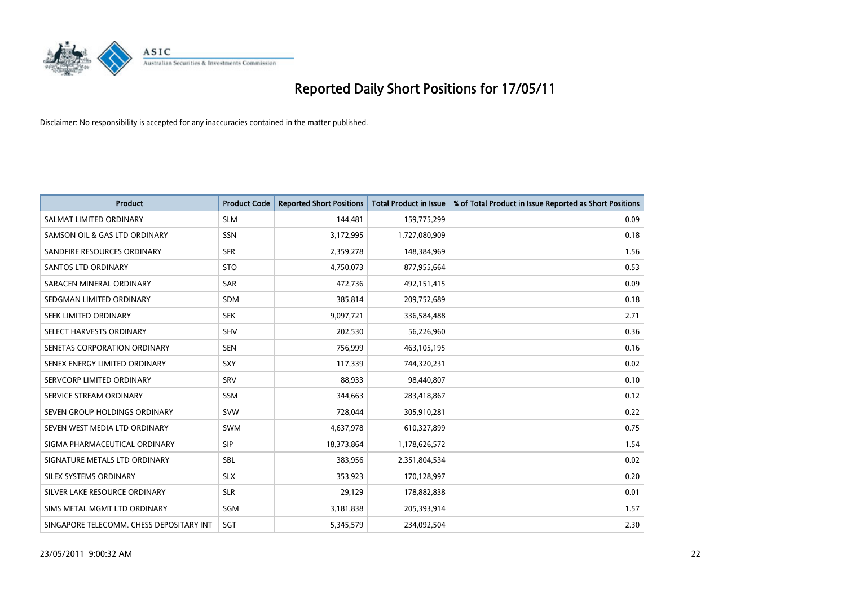

| <b>Product</b>                           | <b>Product Code</b> | <b>Reported Short Positions</b> | <b>Total Product in Issue</b> | % of Total Product in Issue Reported as Short Positions |
|------------------------------------------|---------------------|---------------------------------|-------------------------------|---------------------------------------------------------|
| SALMAT LIMITED ORDINARY                  | <b>SLM</b>          | 144,481                         | 159,775,299                   | 0.09                                                    |
| SAMSON OIL & GAS LTD ORDINARY            | SSN                 | 3,172,995                       | 1,727,080,909                 | 0.18                                                    |
| SANDFIRE RESOURCES ORDINARY              | <b>SFR</b>          | 2,359,278                       | 148,384,969                   | 1.56                                                    |
| SANTOS LTD ORDINARY                      | <b>STO</b>          | 4,750,073                       | 877,955,664                   | 0.53                                                    |
| SARACEN MINERAL ORDINARY                 | <b>SAR</b>          | 472,736                         | 492,151,415                   | 0.09                                                    |
| SEDGMAN LIMITED ORDINARY                 | <b>SDM</b>          | 385,814                         | 209,752,689                   | 0.18                                                    |
| SEEK LIMITED ORDINARY                    | <b>SEK</b>          | 9,097,721                       | 336,584,488                   | 2.71                                                    |
| SELECT HARVESTS ORDINARY                 | SHV                 | 202,530                         | 56,226,960                    | 0.36                                                    |
| SENETAS CORPORATION ORDINARY             | <b>SEN</b>          | 756,999                         | 463,105,195                   | 0.16                                                    |
| SENEX ENERGY LIMITED ORDINARY            | <b>SXY</b>          | 117,339                         | 744,320,231                   | 0.02                                                    |
| SERVCORP LIMITED ORDINARY                | SRV                 | 88,933                          | 98,440,807                    | 0.10                                                    |
| SERVICE STREAM ORDINARY                  | <b>SSM</b>          | 344,663                         | 283,418,867                   | 0.12                                                    |
| SEVEN GROUP HOLDINGS ORDINARY            | <b>SVW</b>          | 728,044                         | 305,910,281                   | 0.22                                                    |
| SEVEN WEST MEDIA LTD ORDINARY            | <b>SWM</b>          | 4,637,978                       | 610,327,899                   | 0.75                                                    |
| SIGMA PHARMACEUTICAL ORDINARY            | SIP                 | 18,373,864                      | 1,178,626,572                 | 1.54                                                    |
| SIGNATURE METALS LTD ORDINARY            | <b>SBL</b>          | 383,956                         | 2,351,804,534                 | 0.02                                                    |
| SILEX SYSTEMS ORDINARY                   | <b>SLX</b>          | 353,923                         | 170,128,997                   | 0.20                                                    |
| SILVER LAKE RESOURCE ORDINARY            | <b>SLR</b>          | 29,129                          | 178,882,838                   | 0.01                                                    |
| SIMS METAL MGMT LTD ORDINARY             | SGM                 | 3,181,838                       | 205,393,914                   | 1.57                                                    |
| SINGAPORE TELECOMM. CHESS DEPOSITARY INT | SGT                 | 5,345,579                       | 234.092.504                   | 2.30                                                    |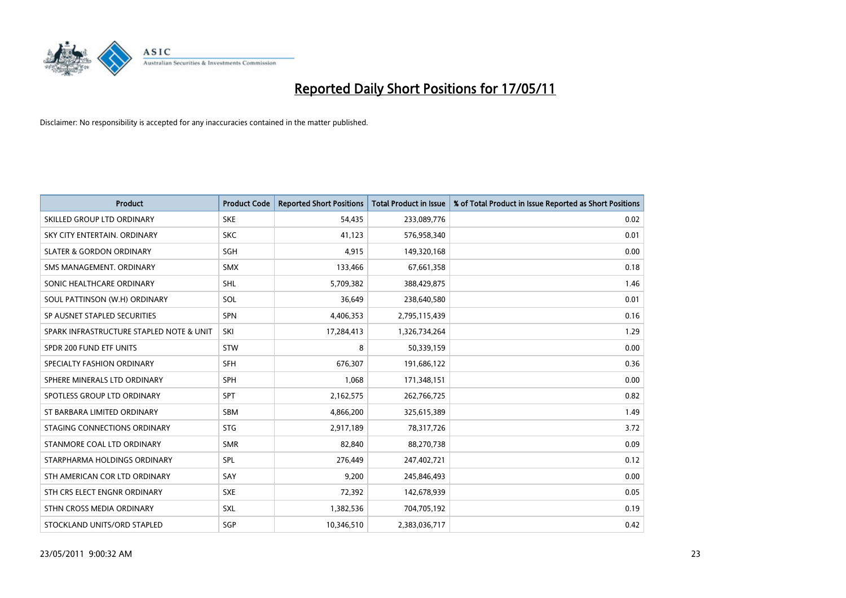

| <b>Product</b>                           | <b>Product Code</b> | <b>Reported Short Positions</b> | <b>Total Product in Issue</b> | % of Total Product in Issue Reported as Short Positions |
|------------------------------------------|---------------------|---------------------------------|-------------------------------|---------------------------------------------------------|
| SKILLED GROUP LTD ORDINARY               | <b>SKE</b>          | 54,435                          | 233,089,776                   | 0.02                                                    |
| SKY CITY ENTERTAIN, ORDINARY             | <b>SKC</b>          | 41,123                          | 576,958,340                   | 0.01                                                    |
| <b>SLATER &amp; GORDON ORDINARY</b>      | SGH                 | 4,915                           | 149,320,168                   | 0.00                                                    |
| SMS MANAGEMENT. ORDINARY                 | <b>SMX</b>          | 133,466                         | 67,661,358                    | 0.18                                                    |
| SONIC HEALTHCARE ORDINARY                | <b>SHL</b>          | 5,709,382                       | 388,429,875                   | 1.46                                                    |
| SOUL PATTINSON (W.H) ORDINARY            | SOL                 | 36,649                          | 238,640,580                   | 0.01                                                    |
| SP AUSNET STAPLED SECURITIES             | SPN                 | 4,406,353                       | 2,795,115,439                 | 0.16                                                    |
| SPARK INFRASTRUCTURE STAPLED NOTE & UNIT | SKI                 | 17,284,413                      | 1,326,734,264                 | 1.29                                                    |
| SPDR 200 FUND ETF UNITS                  | <b>STW</b>          | 8                               | 50,339,159                    | 0.00                                                    |
| SPECIALTY FASHION ORDINARY               | <b>SFH</b>          | 676,307                         | 191,686,122                   | 0.36                                                    |
| SPHERE MINERALS LTD ORDINARY             | <b>SPH</b>          | 1,068                           | 171,348,151                   | 0.00                                                    |
| SPOTLESS GROUP LTD ORDINARY              | SPT                 | 2,162,575                       | 262,766,725                   | 0.82                                                    |
| ST BARBARA LIMITED ORDINARY              | <b>SBM</b>          | 4,866,200                       | 325,615,389                   | 1.49                                                    |
| STAGING CONNECTIONS ORDINARY             | <b>STG</b>          | 2,917,189                       | 78,317,726                    | 3.72                                                    |
| STANMORE COAL LTD ORDINARY               | <b>SMR</b>          | 82,840                          | 88,270,738                    | 0.09                                                    |
| STARPHARMA HOLDINGS ORDINARY             | SPL                 | 276,449                         | 247,402,721                   | 0.12                                                    |
| STH AMERICAN COR LTD ORDINARY            | SAY                 | 9,200                           | 245,846,493                   | 0.00                                                    |
| STH CRS ELECT ENGNR ORDINARY             | <b>SXE</b>          | 72,392                          | 142,678,939                   | 0.05                                                    |
| STHN CROSS MEDIA ORDINARY                | <b>SXL</b>          | 1,382,536                       | 704,705,192                   | 0.19                                                    |
| STOCKLAND UNITS/ORD STAPLED              | SGP                 | 10.346.510                      | 2,383,036,717                 | 0.42                                                    |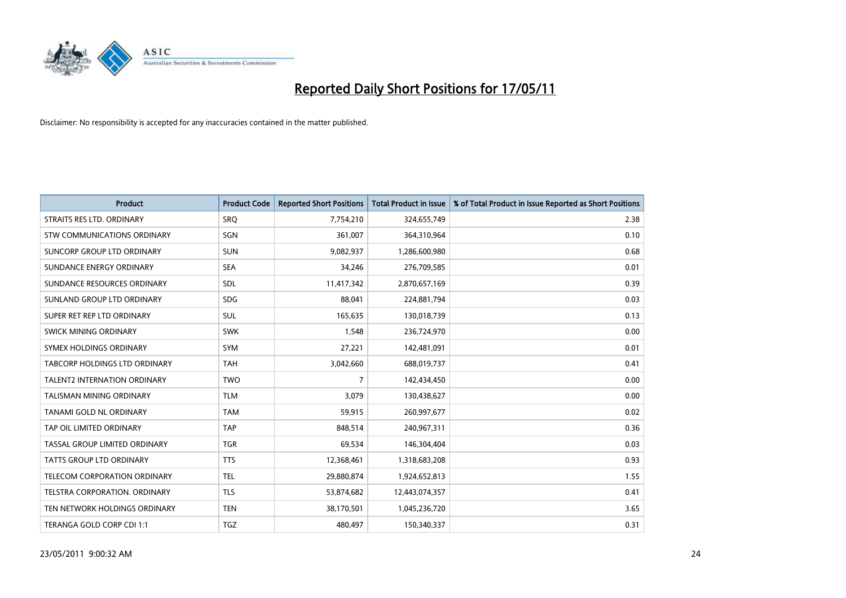

| <b>Product</b>                     | <b>Product Code</b> | <b>Reported Short Positions</b> | <b>Total Product in Issue</b> | % of Total Product in Issue Reported as Short Positions |
|------------------------------------|---------------------|---------------------------------|-------------------------------|---------------------------------------------------------|
| STRAITS RES LTD. ORDINARY          | SRQ                 | 7,754,210                       | 324,655,749                   | 2.38                                                    |
| <b>STW COMMUNICATIONS ORDINARY</b> | SGN                 | 361,007                         | 364,310,964                   | 0.10                                                    |
| SUNCORP GROUP LTD ORDINARY         | <b>SUN</b>          | 9,082,937                       | 1,286,600,980                 | 0.68                                                    |
| SUNDANCE ENERGY ORDINARY           | <b>SEA</b>          | 34,246                          | 276,709,585                   | 0.01                                                    |
| SUNDANCE RESOURCES ORDINARY        | <b>SDL</b>          | 11,417,342                      | 2,870,657,169                 | 0.39                                                    |
| SUNLAND GROUP LTD ORDINARY         | <b>SDG</b>          | 88,041                          | 224,881,794                   | 0.03                                                    |
| SUPER RET REP LTD ORDINARY         | <b>SUL</b>          | 165,635                         | 130,018,739                   | 0.13                                                    |
| SWICK MINING ORDINARY              | <b>SWK</b>          | 1,548                           | 236,724,970                   | 0.00                                                    |
| SYMEX HOLDINGS ORDINARY            | <b>SYM</b>          | 27,221                          | 142,481,091                   | 0.01                                                    |
| TABCORP HOLDINGS LTD ORDINARY      | <b>TAH</b>          | 3,042,660                       | 688,019,737                   | 0.41                                                    |
| TALENT2 INTERNATION ORDINARY       | <b>TWO</b>          | 7                               | 142,434,450                   | 0.00                                                    |
| <b>TALISMAN MINING ORDINARY</b>    | <b>TLM</b>          | 3,079                           | 130,438,627                   | 0.00                                                    |
| TANAMI GOLD NL ORDINARY            | <b>TAM</b>          | 59,915                          | 260,997,677                   | 0.02                                                    |
| TAP OIL LIMITED ORDINARY           | <b>TAP</b>          | 848,514                         | 240,967,311                   | 0.36                                                    |
| TASSAL GROUP LIMITED ORDINARY      | <b>TGR</b>          | 69,534                          | 146,304,404                   | 0.03                                                    |
| TATTS GROUP LTD ORDINARY           | <b>TTS</b>          | 12,368,461                      | 1,318,683,208                 | 0.93                                                    |
| TELECOM CORPORATION ORDINARY       | <b>TEL</b>          | 29,880,874                      | 1,924,652,813                 | 1.55                                                    |
| TELSTRA CORPORATION. ORDINARY      | <b>TLS</b>          | 53,874,682                      | 12,443,074,357                | 0.41                                                    |
| TEN NETWORK HOLDINGS ORDINARY      | <b>TEN</b>          | 38,170,501                      | 1,045,236,720                 | 3.65                                                    |
| TERANGA GOLD CORP CDI 1:1          | <b>TGZ</b>          | 480.497                         | 150,340,337                   | 0.31                                                    |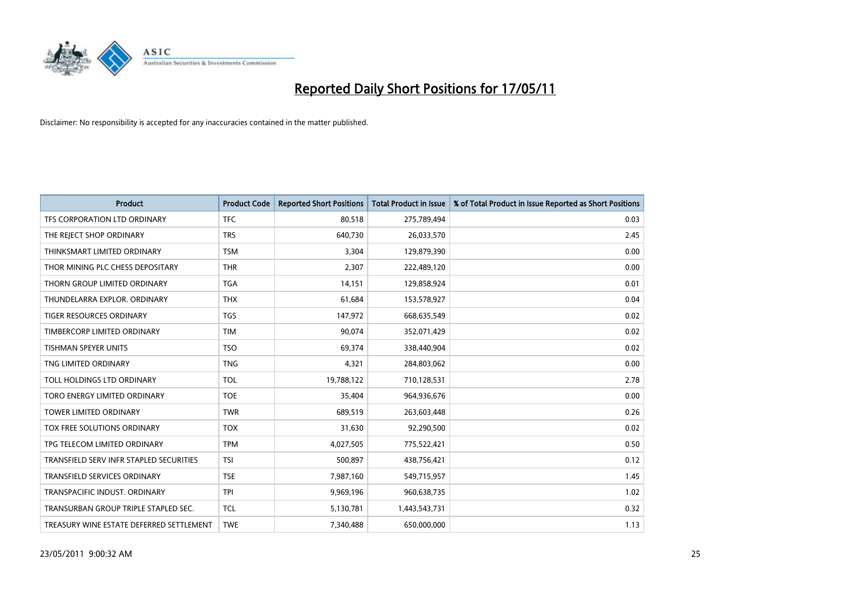

| <b>Product</b>                           | <b>Product Code</b> | <b>Reported Short Positions</b> | <b>Total Product in Issue</b> | % of Total Product in Issue Reported as Short Positions |
|------------------------------------------|---------------------|---------------------------------|-------------------------------|---------------------------------------------------------|
| TFS CORPORATION LTD ORDINARY             | <b>TFC</b>          | 80,518                          | 275,789,494                   | 0.03                                                    |
| THE REJECT SHOP ORDINARY                 | <b>TRS</b>          | 640,730                         | 26,033,570                    | 2.45                                                    |
| THINKSMART LIMITED ORDINARY              | <b>TSM</b>          | 3,304                           | 129,879,390                   | 0.00                                                    |
| THOR MINING PLC CHESS DEPOSITARY         | <b>THR</b>          | 2,307                           | 222,489,120                   | 0.00                                                    |
| THORN GROUP LIMITED ORDINARY             | <b>TGA</b>          | 14,151                          | 129,858,924                   | 0.01                                                    |
| THUNDELARRA EXPLOR, ORDINARY             | <b>THX</b>          | 61,684                          | 153,578,927                   | 0.04                                                    |
| TIGER RESOURCES ORDINARY                 | <b>TGS</b>          | 147,972                         | 668,635,549                   | 0.02                                                    |
| TIMBERCORP LIMITED ORDINARY              | <b>TIM</b>          | 90,074                          | 352,071,429                   | 0.02                                                    |
| <b>TISHMAN SPEYER UNITS</b>              | <b>TSO</b>          | 69,374                          | 338,440,904                   | 0.02                                                    |
| TNG LIMITED ORDINARY                     | <b>TNG</b>          | 4,321                           | 284,803,062                   | 0.00                                                    |
| TOLL HOLDINGS LTD ORDINARY               | <b>TOL</b>          | 19,788,122                      | 710,128,531                   | 2.78                                                    |
| TORO ENERGY LIMITED ORDINARY             | <b>TOE</b>          | 35,404                          | 964,936,676                   | 0.00                                                    |
| TOWER LIMITED ORDINARY                   | <b>TWR</b>          | 689,519                         | 263,603,448                   | 0.26                                                    |
| TOX FREE SOLUTIONS ORDINARY              | <b>TOX</b>          | 31,630                          | 92,290,500                    | 0.02                                                    |
| TPG TELECOM LIMITED ORDINARY             | <b>TPM</b>          | 4,027,505                       | 775,522,421                   | 0.50                                                    |
| TRANSFIELD SERV INFR STAPLED SECURITIES  | <b>TSI</b>          | 500,897                         | 438,756,421                   | 0.12                                                    |
| TRANSFIELD SERVICES ORDINARY             | <b>TSE</b>          | 7,987,160                       | 549,715,957                   | 1.45                                                    |
| TRANSPACIFIC INDUST. ORDINARY            | <b>TPI</b>          | 9,969,196                       | 960,638,735                   | 1.02                                                    |
| TRANSURBAN GROUP TRIPLE STAPLED SEC.     | <b>TCL</b>          | 5,130,781                       | 1,443,543,731                 | 0.32                                                    |
| TREASURY WINE ESTATE DEFERRED SETTLEMENT | <b>TWE</b>          | 7,340,488                       | 650,000,000                   | 1.13                                                    |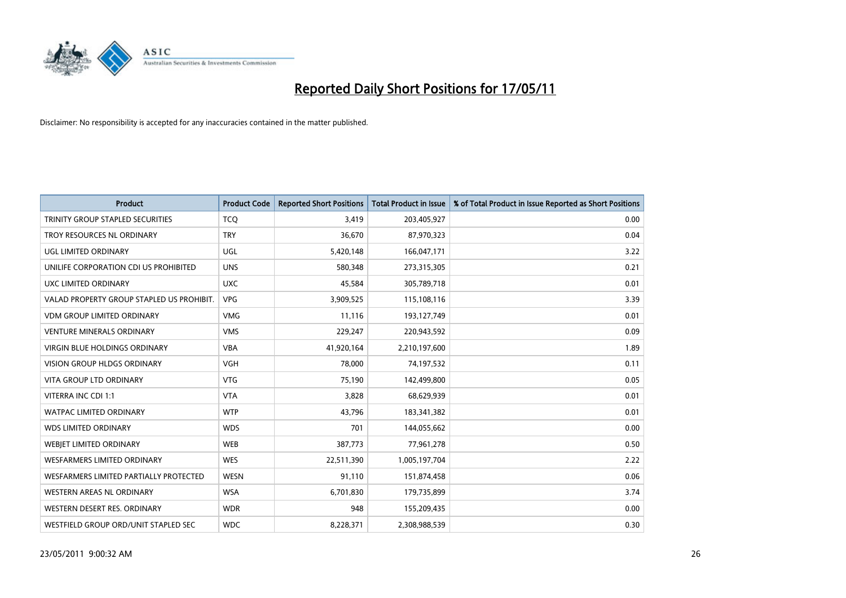

| <b>Product</b>                            | <b>Product Code</b> | <b>Reported Short Positions</b> | <b>Total Product in Issue</b> | % of Total Product in Issue Reported as Short Positions |
|-------------------------------------------|---------------------|---------------------------------|-------------------------------|---------------------------------------------------------|
| TRINITY GROUP STAPLED SECURITIES          | <b>TCQ</b>          | 3,419                           | 203,405,927                   | 0.00                                                    |
| TROY RESOURCES NL ORDINARY                | <b>TRY</b>          | 36,670                          | 87,970,323                    | 0.04                                                    |
| UGL LIMITED ORDINARY                      | UGL                 | 5,420,148                       | 166,047,171                   | 3.22                                                    |
| UNILIFE CORPORATION CDI US PROHIBITED     | <b>UNS</b>          | 580,348                         | 273,315,305                   | 0.21                                                    |
| UXC LIMITED ORDINARY                      | <b>UXC</b>          | 45,584                          | 305,789,718                   | 0.01                                                    |
| VALAD PROPERTY GROUP STAPLED US PROHIBIT. | <b>VPG</b>          | 3,909,525                       | 115,108,116                   | 3.39                                                    |
| <b>VDM GROUP LIMITED ORDINARY</b>         | <b>VMG</b>          | 11,116                          | 193,127,749                   | 0.01                                                    |
| <b>VENTURE MINERALS ORDINARY</b>          | <b>VMS</b>          | 229,247                         | 220,943,592                   | 0.09                                                    |
| <b>VIRGIN BLUE HOLDINGS ORDINARY</b>      | <b>VBA</b>          | 41,920,164                      | 2,210,197,600                 | 1.89                                                    |
| <b>VISION GROUP HLDGS ORDINARY</b>        | <b>VGH</b>          | 78,000                          | 74,197,532                    | 0.11                                                    |
| VITA GROUP LTD ORDINARY                   | <b>VTG</b>          | 75,190                          | 142,499,800                   | 0.05                                                    |
| VITERRA INC CDI 1:1                       | <b>VTA</b>          | 3,828                           | 68,629,939                    | 0.01                                                    |
| WATPAC LIMITED ORDINARY                   | <b>WTP</b>          | 43,796                          | 183,341,382                   | 0.01                                                    |
| <b>WDS LIMITED ORDINARY</b>               | <b>WDS</b>          | 701                             | 144,055,662                   | 0.00                                                    |
| <b>WEBJET LIMITED ORDINARY</b>            | <b>WEB</b>          | 387,773                         | 77,961,278                    | 0.50                                                    |
| <b>WESFARMERS LIMITED ORDINARY</b>        | <b>WES</b>          | 22,511,390                      | 1,005,197,704                 | 2.22                                                    |
| WESFARMERS LIMITED PARTIALLY PROTECTED    | <b>WESN</b>         | 91,110                          | 151,874,458                   | 0.06                                                    |
| WESTERN AREAS NL ORDINARY                 | <b>WSA</b>          | 6,701,830                       | 179,735,899                   | 3.74                                                    |
| WESTERN DESERT RES. ORDINARY              | <b>WDR</b>          | 948                             | 155,209,435                   | 0.00                                                    |
| WESTFIELD GROUP ORD/UNIT STAPLED SEC      | <b>WDC</b>          | 8,228,371                       | 2,308,988,539                 | 0.30                                                    |